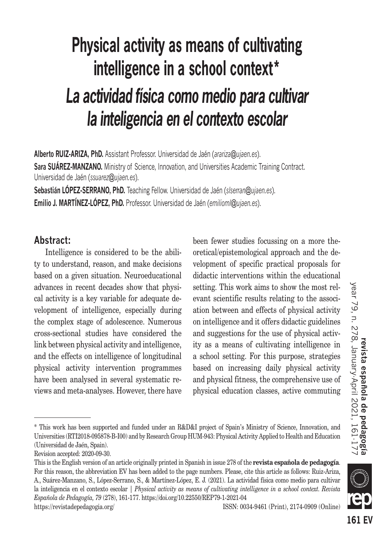# **Physical activity as means of cultivating intelligence in a school context\*** *La actividad física como medio para cultivar la inteligencia en el contexto escolar*

**Alberto RUIZ-ARIZA, PhD.** Assistant Professor. Universidad de Jaén (*arariza@ujaen.es*). **Sara SUÁREZ-MANZANO.** Ministry of Science, Innovation, and Universities Academic Training Contract. Universidad de Jaén (*ssuarez@ujaen.es*).

**Sebastián LÓPEZ-SERRANO, PhD.** Teaching Fellow. Universidad de Jaén (*slserran@ujaen.es*).

**Emilio J. MARTÍNEZ-LÓPEZ. PhD.** Professor. Universidad de Jaén (*emilioml@ujaen.es*).

# **Abstract:**

Intelligence is considered to be the ability to understand, reason, and make decisions based on a given situation. Neuroeducational advances in recent decades show that physical activity is a key variable for adequate development of intelligence, especially during the complex stage of adolescence. Numerous cross-sectional studies have considered the link between physical activity and intelligence, and the effects on intelligence of longitudinal physical activity intervention programmes have been analysed in several systematic reviews and meta-analyses. However, there have been fewer studies focussing on a more theoretical/epistemological approach and the development of specific practical proposals for didactic interventions within the educational setting. This work aims to show the most relevant scientific results relating to the association between and effects of physical activity on intelligence and it offers didactic guidelines and suggestions for the use of physical activity as a means of cultivating intelligence in a school setting. For this purpose, strategies based on increasing daily physical activity and physical fitness, the comprehensive use of physical education classes, active commuting



<sup>\*</sup> This work has been supported and funded under an R&D&I project of Spain's Ministry of Science, Innovation, and Universities (RTI2018-095878-B-I00) and by Research Group HUM-943: Physical Activity Applied to Health and Education (Universidad de Jaén, Spain).

Revision accepted: 2020-09-30.

This is the English version of an article originally printed in Spanish in issue 278 of the **revista española de pedagogía**. For this reason, the abbreviation EV has been added to the page numbers. Please, cite this article as follows: Ruiz-Ariza, A., Suárez-Manzano, S., López-Serrano, S., & Martínez-López, E. J. (2021). La actividad física como medio para cultivar la inteligencia en el contexto escolar | *Physical activity as means of cultivating intelligence in a school context. Revista Española de Pedagogía, 79* (278), 161-177. https://doi.org/10.22550/REP79-1-2021-04

https://revistadepedagogia.org/ ISSN: 0034-9461 (Print), 2174-0909 (Online)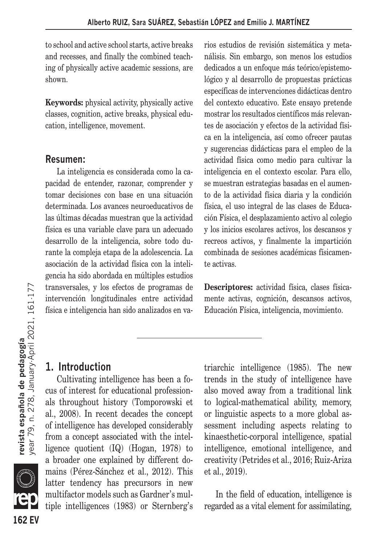to school and active school starts, active breaks and recesses, and finally the combined teaching of physically active academic sessions, are shown.

**Keywords:** physical activity, physically active classes, cognition, active breaks, physical education, intelligence, movement.

### **Resumen:**

La inteligencia es considerada como la capacidad de entender, razonar, comprender y tomar decisiones con base en una situación determinada. Los avances neuroeducativos de las últimas décadas muestran que la actividad física es una variable clave para un adecuado desarrollo de la inteligencia, sobre todo durante la compleja etapa de la adolescencia. La asociación de la actividad física con la inteligencia ha sido abordada en múltiples estudios transversales, y los efectos de programas de intervención longitudinales entre actividad física e inteligencia han sido analizados en varios estudios de revisión sistemática y metanálisis. Sin embargo, son menos los estudios dedicados a un enfoque más teórico/epistemológico y al desarrollo de propuestas prácticas específicas de intervenciones didácticas dentro del contexto educativo. Este ensayo pretende mostrar los resultados científicos más relevantes de asociación y efectos de la actividad física en la inteligencia, así como ofrecer pautas y sugerencias didácticas para el empleo de la actividad física como medio para cultivar la inteligencia en el contexto escolar. Para ello, se muestran estrategias basadas en el aumento de la actividad física diaria y la condición física, el uso integral de las clases de Educación Física, el desplazamiento activo al colegio y los inicios escolares activos, los descansos y recreos activos, y finalmente la impartición combinada de sesiones académicas físicamente activas.

**Descriptores:** actividad física, clases físicamente activas, cognición, descansos activos, Educación Física, inteligencia, movimiento.

# **1. Introduction**

Cultivating intelligence has been a focus of interest for educational professionals throughout history (Tomporowski et al., 2008). In recent decades the concept of intelligence has developed considerably from a concept associated with the intelligence quotient (IQ) (Hogan, 1978) to a broader one explained by different domains (Pérez-Sánchez et al., 2012). This latter tendency has precursors in new multifactor models such as Gardner's multiple intelligences (1983) or Sternberg's triarchic intelligence (1985). The new trends in the study of intelligence have also moved away from a traditional link to logical-mathematical ability, memory, or linguistic aspects to a more global assessment including aspects relating to kinaesthetic-corporal intelligence, spatial intelligence, emotional intelligence, and creativity (Petrides et al., 2016; Ruiz-Ariza et al., 2019).

In the field of education, intelligence is regarded as a vital element for assimilating,

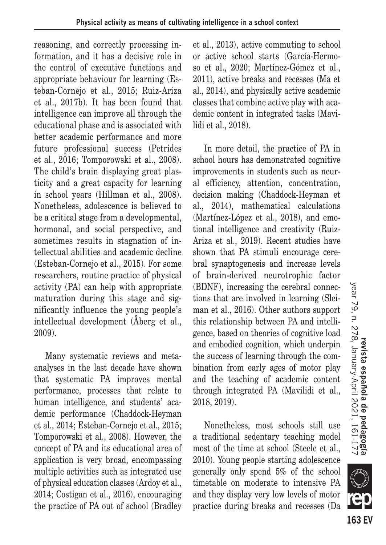reasoning, and correctly processing information, and it has a decisive role in the control of executive functions and appropriate behaviour for learning (Esteban-Cornejo et al., 2015; Ruiz-Ariza et al., 2017b). It has been found that intelligence can improve all through the educational phase and is associated with better academic performance and more future professional success (Petrides et al., 2016; Tomporowski et al., 2008). The child's brain displaying great plasticity and a great capacity for learning in school years (Hillman et al., 2008). Nonetheless, adolescence is believed to be a critical stage from a developmental, hormonal, and social perspective, and sometimes results in stagnation of intellectual abilities and academic decline (Esteban-Cornejo et al., 2015). For some researchers, routine practice of physical activity (PA) can help with appropriate maturation during this stage and significantly influence the young people's intellectual development (Åberg et al., 2009).

Many systematic reviews and metaanalyses in the last decade have shown that systematic PA improves mental performance, processes that relate to human intelligence, and students' academic performance (Chaddock-Heyman et al., 2014; Esteban-Cornejo et al., 2015; Tomporowski et al., 2008). However, the concept of PA and its educational area of application is very broad, encompassing multiple activities such as integrated use of physical education classes (Ardoy et al., 2014; Costigan et al., 2016), encouraging the practice of PA out of school (Bradley et al., 2013), active commuting to school or active school starts (García-Hermoso et al., 2020; Martínez-Gómez et al., 2011), active breaks and recesses (Ma et al., 2014), and physically active academic classes that combine active play with academic content in integrated tasks (Mavilidi et al., 2018).

In more detail, the practice of PA in school hours has demonstrated cognitive improvements in students such as neural efficiency, attention, concentration, decision making (Chaddock-Heyman et al., 2014), mathematical calculations (Martínez-López et al., 2018), and emotional intelligence and creativity (Ruiz-Ariza et al., 2019). Recent studies have shown that PA stimuli encourage cerebral synaptogenesis and increase levels of brain-derived neurotrophic factor (BDNF), increasing the cerebral connections that are involved in learning (Sleiman et al., 2016). Other authors support this relationship between PA and intelligence, based on theories of cognitive load and embodied cognition, which underpin the success of learning through the combination from early ages of motor play and the teaching of academic content through integrated PA (Mavilidi et al., 2018, 2019).

Nonetheless, most schools still use a traditional sedentary teaching model most of the time at school (Steele et al., 2010). Young people starting adolescence generally only spend 5% of the school timetable on moderate to intensive PA and they display very low levels of motor practice during breaks and recesses (Da

**163 EV**

**KILLE**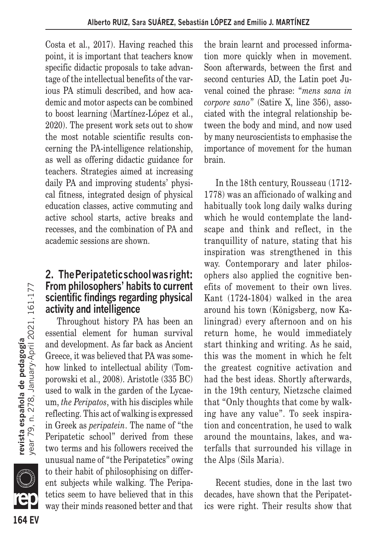Costa et al., 2017). Having reached this point, it is important that teachers know specific didactic proposals to take advantage of the intellectual benefits of the various PA stimuli described, and how academic and motor aspects can be combined to boost learning (Martínez-López et al., 2020). The present work sets out to show the most notable scientific results concerning the PA-intelligence relationship, as well as offering didactic guidance for teachers. Strategies aimed at increasing daily PA and improving students' physical fitness, integrated design of physical education classes, active commuting and active school starts, active breaks and recesses, and the combination of PA and academic sessions are shown.

# **2. The Peripatetic school was right: From philosophers' habits to current scientific findings regarding physical activity and intelligence**

Throughout history PA has been an essential element for human survival and development. As far back as Ancient Greece, it was believed that PA was somehow linked to intellectual ability (Tomporowski et al., 2008). Aristotle (335 BC) used to walk in the garden of the Lycaeum, *the Peripatos*, with his disciples while reflecting. This act of walking is expressed in Greek as *peripatein*. The name of "the Peripatetic school" derived from these two terms and his followers received the unusual name of "the Peripatetics" owing to their habit of philosophising on different subjects while walking. The Peripatetics seem to have believed that in this way their minds reasoned better and that

the brain learnt and processed information more quickly when in movement. Soon afterwards, between the first and second centuries AD, the Latin poet Juvenal coined the phrase: "*mens sana in corpore sano*" (Satire X, line 356), associated with the integral relationship between the body and mind, and now used by many neuroscientists to emphasise the importance of movement for the human brain.

In the 18th century, Rousseau (1712- 1778) was an afficionado of walking and habitually took long daily walks during which he would contemplate the landscape and think and reflect, in the tranquillity of nature, stating that his inspiration was strengthened in this way. Contemporary and later philosophers also applied the cognitive benefits of movement to their own lives. Kant (1724-1804) walked in the area around his town (Königsberg, now Kaliningrad) every afternoon and on his return home, he would immediately start thinking and writing. As he said, this was the moment in which he felt the greatest cognitive activation and had the best ideas. Shortly afterwards, in the 19th century, Nietzsche claimed that "Only thoughts that come by walking have any value". To seek inspiration and concentration, he used to walk around the mountains, lakes, and waterfalls that surrounded his village in the Alps (Sils Maria).

Recent studies, done in the last two decades, have shown that the Peripatetics were right. Their results show that

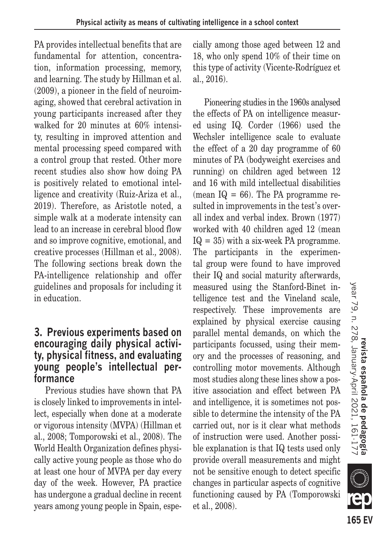PA provides intellectual benefits that are fundamental for attention, concentration, information processing, memory, and learning. The study by Hillman et al. (2009), a pioneer in the field of neuroimaging, showed that cerebral activation in young participants increased after they walked for 20 minutes at 60% intensity, resulting in improved attention and mental processing speed compared with a control group that rested. Other more recent studies also show how doing PA is positively related to emotional intelligence and creativity (Ruiz-Ariza et al., 2019). Therefore, as Aristotle noted, a simple walk at a moderate intensity can lead to an increase in cerebral blood flow and so improve cognitive, emotional, and creative processes (Hillman et al.*,* 2008). The following sections break down the PA-intelligence relationship and offer guidelines and proposals for including it in education.

# **3. Previous experiments based on encouraging daily physical activity, physical fitness, and evaluating young people's intellectual performance**

Previous studies have shown that PA is closely linked to improvements in intellect, especially when done at a moderate or vigorous intensity (MVPA) (Hillman et al., 2008; Tomporowski et al., 2008). The World Health Organization defines physically active young people as those who do at least one hour of MVPA per day every day of the week. However, PA practice has undergone a gradual decline in recent years among young people in Spain, especially among those aged between 12 and 18, who only spend 10% of their time on this type of activity (Vicente-Rodríguez et al., 2016).

Pioneering studies in the 1960s analysed the effects of PA on intelligence measured using IQ. Corder (1966) used the Wechsler intelligence scale to evaluate the effect of a 20 day programme of 60 minutes of PA (bodyweight exercises and running) on children aged between 12 and 16 with mild intellectual disabilities (mean  $IQ = 66$ ). The PA programme resulted in improvements in the test's overall index and verbal index. Brown (1977) worked with 40 children aged 12 (mean  $IQ = 35$ ) with a six-week PA programme. The participants in the experimental group were found to have improved their IQ and social maturity afterwards, measured using the Stanford-Binet intelligence test and the Vineland scale, respectively. These improvements are explained by physical exercise causing parallel mental demands, on which the participants focussed, using their memory and the processes of reasoning, and controlling motor movements. Although most studies along these lines show a positive association and effect between PA and intelligence, it is sometimes not possible to determine the intensity of the PA carried out, nor is it clear what methods of instruction were used. Another possible explanation is that IQ tests used only provide overall measurements and might not be sensitive enough to detect specific changes in particular aspects of cognitive functioning caused by PA (Tomporowski et al., 2008).

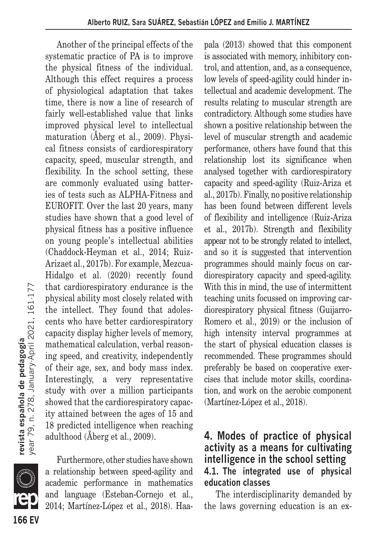Another of the principal effects of the systematic practice of PA is to improve the physical fitness of the individual. Although this effect requires a process of physiological adaptation that takes time, there is now a line of research of fairly well-established value that links improved physical level to intellectual maturation (Åberg et al., 2009). Physical fitness consists of cardiorespiratory capacity, speed, muscular strength, and flexibility. In the school setting, these are commonly evaluated using batteries of tests such as ALPHA-Fitness and EUROFIT. Over the last 20 years, many studies have shown that a good level of physical fitness has a positive influence on young people's intellectual abilities (Chaddock-Heyman et al., 2014; Ruiz-Arizaet al., 2017b). For example, Mezcua-Hidalgo et al. (2020) recently found that cardiorespiratory endurance is the physical ability most closely related with the intellect. They found that adolescents who have better cardiorespiratory capacity display higher levels of memory, mathematical calculation, verbal reasoning speed, and creativity, independently of their age, sex, and body mass index. Interestingly, a very representative study with over a million participants showed that the cardiorespiratory capacity attained between the ages of 15 and 18 predicted intelligence when reaching adulthood (Åberg et al., 2009).

er<br>(Tillige f **166 EV**

Furthermore, other studies have shown a relationship between speed-agility and academic performance in mathematics and language (Esteban-Cornejo et al., 2014; Martínez-López et al., 2018). Haapala (2013) showed that this component is associated with memory, inhibitory control, and attention, and, as a consequence, low levels of speed-agility could hinder intellectual and academic development. The results relating to muscular strength are contradictory. Although some studies have shown a positive relationship between the level of muscular strength and academic performance, others have found that this relationship lost its significance when analysed together with cardiorespiratory capacity and speed-agility (Ruiz-Ariza et al., 2017b). Finally, no positive relationship has been found between different levels of flexibility and intelligence (Ruiz-Ariza et al., 2017b). Strength and flexibility appear not to be strongly related to intellect, and so it is suggested that intervention programmes should mainly focus on cardiorespiratory capacity and speed-agility. With this in mind, the use of intermittent teaching units focussed on improving cardiorespiratory physical fitness (Guijarro-Romero et al., 2019) or the inclusion of high intensity interval programmes at the start of physical education classes is recommended. These programmes should preferably be based on cooperative exercises that include motor skills, coordination, and work on the aerobic component (Martínez-López et al., 2018).

# **4. Modes of practice of physical activity as a means for cultivating intelligence in the school setting 4.1. The integrated use of physical education classes**

The interdisciplinarity demanded by the laws governing education is an ex-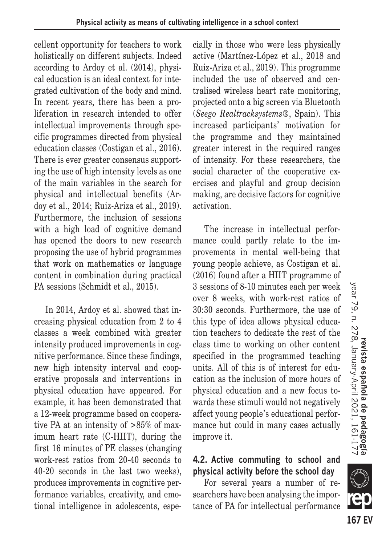cellent opportunity for teachers to work holistically on different subjects. Indeed according to Ardoy et al. (2014), physical education is an ideal context for integrated cultivation of the body and mind. In recent years, there has been a proliferation in research intended to offer intellectual improvements through specific programmes directed from physical education classes (Costigan et al., 2016). There is ever greater consensus supporting the use of high intensity levels as one of the main variables in the search for physical and intellectual benefits (Ardoy et al., 2014; Ruiz-Ariza et al., 2019). Furthermore, the inclusion of sessions with a high load of cognitive demand has opened the doors to new research proposing the use of hybrid programmes that work on mathematics or language content in combination during practical PA sessions (Schmidt et al., 2015).

In 2014, Ardoy et al. showed that increasing physical education from 2 to 4 classes a week combined with greater intensity produced improvements in cognitive performance. Since these findings, new high intensity interval and cooperative proposals and interventions in physical education have appeared. For example, it has been demonstrated that a 12-week programme based on cooperative PA at an intensity of >85% of maximum heart rate (C-HIIT), during the first 16 minutes of PE classes (changing work-rest ratios from 20-40 seconds to 40-20 seconds in the last two weeks), produces improvements in cognitive performance variables, creativity, and emotional intelligence in adolescents, especially in those who were less physically active (Martínez-López et al., 2018 and Ruiz-Ariza et al., 2019). This programme included the use of observed and centralised wireless heart rate monitoring, projected onto a big screen via Bluetooth (*Seego Realtracksystems*®, Spain). This increased participants' motivation for the programme and they maintained greater interest in the required ranges of intensity. For these researchers, the social character of the cooperative exercises and playful and group decision making, are decisive factors for cognitive activation.

The increase in intellectual performance could partly relate to the improvements in mental well-being that young people achieve, as Costigan et al. (2016) found after a HIIT programme of 3 sessions of 8-10 minutes each per week over 8 weeks, with work-rest ratios of 30:30 seconds. Furthermore, the use of this type of idea allows physical education teachers to dedicate the rest of the class time to working on other content specified in the programmed teaching units. All of this is of interest for education as the inclusion of more hours of physical education and a new focus towards these stimuli would not negatively affect young people's educational performance but could in many cases actually improve it.

# **4.2. Active commuting to school and physical activity before the school day**

For several years a number of researchers have been analysing the importance of PA for intellectual performance



**SIII**D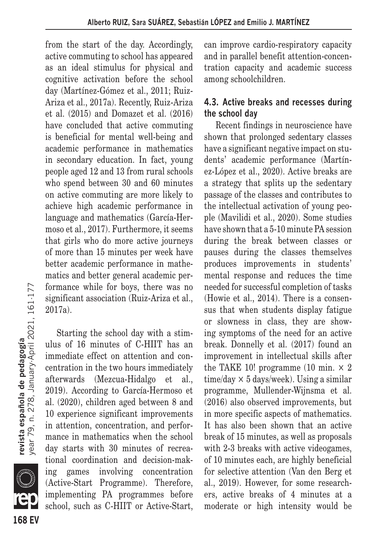from the start of the day. Accordingly, active commuting to school has appeared as an ideal stimulus for physical and cognitive activation before the school day (Martínez-Gómez et al., 2011; Ruiz-Ariza et al., 2017a). Recently, Ruiz-Ariza et al. (2015) and Domazet et al. (2016) have concluded that active commuting is beneficial for mental well-being and academic performance in mathematics in secondary education. In fact, young people aged 12 and 13 from rural schools who spend between 30 and 60 minutes on active commuting are more likely to achieve high academic performance in language and mathematics (García-Hermoso et al., 2017). Furthermore, it seems that girls who do more active journeys of more than 15 minutes per week have better academic performance in mathematics and better general academic performance while for boys, there was no significant association (Ruiz-Ariza et al., 2017a).

Starting the school day with a stimulus of 16 minutes of C-HIIT has an immediate effect on attention and concentration in the two hours immediately afterwards (Mezcua-Hidalgo et al., 2019). According to García-Hermoso et al. (2020), children aged between 8 and 10 experience significant improvements in attention, concentration, and performance in mathematics when the school day starts with 30 minutes of recreational coordination and decision-making games involving concentration (Active-Start Programme). Therefore, implementing PA programmes before school, such as C-HIIT or Active-Start, can improve cardio-respiratory capacity and in parallel benefit attention-concentration capacity and academic success among schoolchildren.

### **4.3. Active breaks and recesses during the school day**

Recent findings in neuroscience have shown that prolonged sedentary classes have a significant negative impact on students' academic performance (Martínez-López et al., 2020). Active breaks are a strategy that splits up the sedentary passage of the classes and contributes to the intellectual activation of young people (Mavilidi et al., 2020). Some studies have shown that a 5-10 minute PA session during the break between classes or pauses during the classes themselves produces improvements in students' mental response and reduces the time needed for successful completion of tasks (Howie et al., 2014). There is a consensus that when students display fatigue or slowness in class, they are showing symptoms of the need for an active break. Donnelly et al. (2017) found an improvement in intellectual skills after the TAKE 10! programme (10 min.  $\times$  2 time/day  $\times$  5 days/week). Using a similar programme, Mullender-Wijnsma et al. (2016) also observed improvements, but in more specific aspects of mathematics. It has also been shown that an active break of 15 minutes, as well as proposals with 2-3 breaks with active videogames, of 10 minutes each, are highly beneficial for selective attention (Van den Berg et al., 2019). However, for some researchers, active breaks of 4 minutes at a moderate or high intensity would be

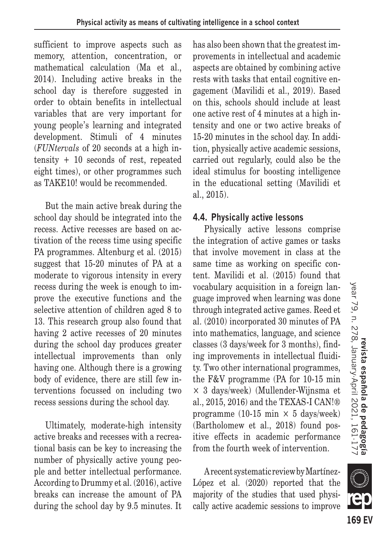sufficient to improve aspects such as memory, attention, concentration, or mathematical calculation (Ma et al., 2014). Including active breaks in the school day is therefore suggested in order to obtain benefits in intellectual variables that are very important for young people's learning and integrated development. Stimuli of 4 minutes (*FUNtervals* of 20 seconds at a high intensity + 10 seconds of rest, repeated eight times), or other programmes such as TAKE10! would be recommended.

But the main active break during the school day should be integrated into the recess. Active recesses are based on activation of the recess time using specific PA programmes. Altenburg et al. (2015) suggest that 15-20 minutes of PA at a moderate to vigorous intensity in every recess during the week is enough to improve the executive functions and the selective attention of children aged 8 to 13. This research group also found that having 2 active recesses of 20 minutes during the school day produces greater intellectual improvements than only having one. Although there is a growing body of evidence, there are still few interventions focussed on including two recess sessions during the school day.

Ultimately, moderate-high intensity active breaks and recesses with a recreational basis can be key to increasing the number of physically active young people and better intellectual performance. According to Drummy et al. (2016), active breaks can increase the amount of PA during the school day by 9.5 minutes. It has also been shown that the greatest improvements in intellectual and academic aspects are obtained by combining active rests with tasks that entail cognitive engagement (Mavilidi et al., 2019). Based on this, schools should include at least one active rest of 4 minutes at a high intensity and one or two active breaks of 15-20 minutes in the school day. In addition, physically active academic sessions, carried out regularly, could also be the ideal stimulus for boosting intelligence in the educational setting (Mavilidi et al., 2015).

# **4.4. Physically active lessons**

Physically active lessons comprise the integration of active games or tasks that involve movement in class at the same time as working on specific content. Mavilidi et al. (2015) found that vocabulary acquisition in a foreign language improved when learning was done through integrated active games. Reed et al. (2010) incorporated 30 minutes of PA into mathematics, language, and science classes (3 days/week for 3 months), finding improvements in intellectual fluidity. Two other international programmes, the F&V programme (PA for 10-15 min × 3 days/week) (Mullender-Wijnsma et al., 2015, 2016) and the TEXAS-I CAN!® programme (10-15 min  $\times$  5 days/week) (Bartholomew et al., 2018) found positive effects in academic performance from the fourth week of intervention.

A recent systematic review by Martínez-López et al. (2020) reported that the majority of the studies that used physically active academic sessions to improve

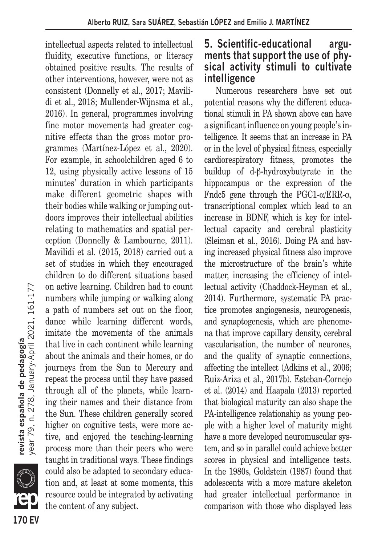intellectual aspects related to intellectual fluidity, executive functions, or literacy obtained positive results. The results of other interventions, however, were not as consistent (Donnelly et al., 2017; Mavilidi et al., 2018; Mullender-Wijnsma et al., 2016). In general, programmes involving fine motor movements had greater cognitive effects than the gross motor programmes (Martínez-López et al., 2020). For example, in schoolchildren aged 6 to 12, using physically active lessons of 15 minutes' duration in which participants make different geometric shapes with their bodies while walking or jumping outdoors improves their intellectual abilities relating to mathematics and spatial perception (Donnelly & Lambourne, 2011). Mavilidi et al. (2015, 2018) carried out a set of studies in which they encouraged children to do different situations based on active learning. Children had to count numbers while jumping or walking along a path of numbers set out on the floor, dance while learning different words, imitate the movements of the animals that live in each continent while learning about the animals and their homes, or do journeys from the Sun to Mercury and repeat the process until they have passed through all of the planets, while learning their names and their distance from the Sun. These children generally scored higher on cognitive tests, were more active, and enjoyed the teaching-learning process more than their peers who were taught in traditional ways. These findings could also be adapted to secondary education and, at least at some moments, this resource could be integrated by activating the content of any subject.

# **5. Scientific-educational arguments that support the use of physical activity stimuli to cultivate intelligence**

Numerous researchers have set out potential reasons why the different educational stimuli in PA shown above can have a significant influence on young people's intelligence. It seems that an increase in PA or in the level of physical fitness, especially cardiorespiratory fitness, promotes the buildup of d-β-hydroxybutyrate in the hippocampus or the expression of the Fndc5 gene through the PGC1- $\alpha$ /ERR- $\alpha$ , transcriptional complex which lead to an increase in BDNF, which is key for intellectual capacity and cerebral plasticity (Sleiman et al., 2016). Doing PA and having increased physical fitness also improve the microstructure of the brain's white matter, increasing the efficiency of intellectual activity (Chaddock-Heyman et al., 2014). Furthermore, systematic PA practice promotes angiogenesis, neurogenesis, and synaptogenesis, which are phenomena that improve capillary density, cerebral vascularisation, the number of neurones, and the quality of synaptic connections, affecting the intellect (Adkins et al., 2006; Ruiz-Ariza et al., 2017b). Esteban-Cornejo et al. (2014) and Haapala (2013) reported that biological maturity can also shape the PA-intelligence relationship as young people with a higher level of maturity might have a more developed neuromuscular system, and so in parallel could achieve better scores in physical and intelligence tests. In the 1980s, Goldstein (1987) found that adolescents with a more mature skeleton had greater intellectual performance in comparison with those who displayed less

**170 EV**

er<br>Ma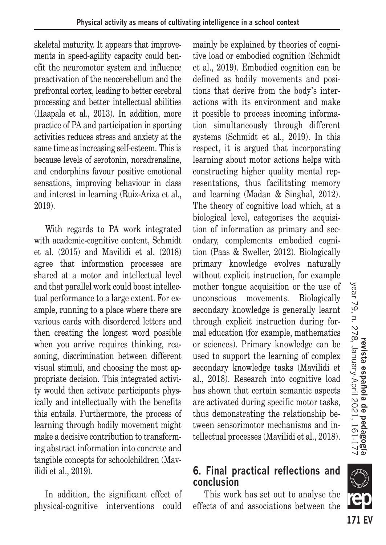skeletal maturity. It appears that improvements in speed-agility capacity could benefit the neuromotor system and influence preactivation of the neocerebellum and the prefrontal cortex, leading to better cerebral processing and better intellectual abilities (Haapala et al., 2013). In addition, more practice of PA and participation in sporting activities reduces stress and anxiety at the same time as increasing self-esteem. This is because levels of serotonin, noradrenaline, and endorphins favour positive emotional sensations, improving behaviour in class and interest in learning (Ruiz-Ariza et al., 2019).

With regards to PA work integrated with academic-cognitive content, Schmidt et al. (2015) and Mavilidi et al. (2018) agree that information processes are shared at a motor and intellectual level and that parallel work could boost intellectual performance to a large extent. For example, running to a place where there are various cards with disordered letters and then creating the longest word possible when you arrive requires thinking, reasoning, discrimination between different visual stimuli, and choosing the most appropriate decision. This integrated activity would then activate participants physically and intellectually with the benefits this entails. Furthermore, the process of learning through bodily movement might make a decisive contribution to transforming abstract information into concrete and tangible concepts for schoolchildren (Mavilidi et al., 2019).

In addition, the significant effect of physical-cognitive interventions could mainly be explained by theories of cognitive load or embodied cognition (Schmidt et al., 2019). Embodied cognition can be defined as bodily movements and positions that derive from the body's interactions with its environment and make it possible to process incoming information simultaneously through different systems (Schmidt et al., 2019). In this respect, it is argued that incorporating learning about motor actions helps with constructing higher quality mental representations, thus facilitating memory and learning (Madan & Singhal, 2012). The theory of cognitive load which, at a biological level, categorises the acquisition of information as primary and secondary, complements embodied cognition (Paas & Sweller, 2012). Biologically primary knowledge evolves naturally without explicit instruction, for example mother tongue acquisition or the use of unconscious movements. Biologically secondary knowledge is generally learnt through explicit instruction during formal education (for example, mathematics or sciences). Primary knowledge can be used to support the learning of complex secondary knowledge tasks (Mavilidi et al., 2018). Research into cognitive load has shown that certain semantic aspects are activated during specific motor tasks, thus demonstrating the relationship between sensorimotor mechanisms and intellectual processes (Mavilidi et al., 2018).

# **6. Final practical reflections and conclusion**

This work has set out to analyse the effects of and associations between the

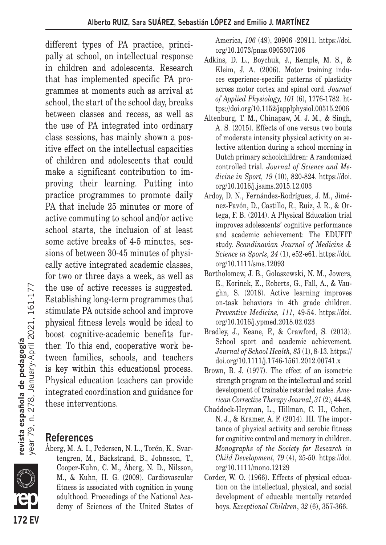different types of PA practice, principally at school, on intellectual response in children and adolescents. Research that has implemented specific PA programmes at moments such as arrival at school, the start of the school day, breaks between classes and recess, as well as the use of PA integrated into ordinary class sessions, has mainly shown a positive effect on the intellectual capacities of children and adolescents that could make a significant contribution to improving their learning. Putting into practice programmes to promote daily PA that include 25 minutes or more of active commuting to school and/or active school starts, the inclusion of at least some active breaks of 4-5 minutes, sessions of between 30-45 minutes of physically active integrated academic classes, for two or three days a week, as well as the use of active recesses is suggested. Establishing long-term programmes that stimulate PA outside school and improve physical fitness levels would be ideal to boost cognitive-academic benefits further. To this end, cooperative work between families, schools, and teachers is key within this educational process. Physical education teachers can provide integrated coordination and guidance for these interventions.

# **References**

Åberg, M. A. I., Pedersen, N. L., Torén, K., Svartengren, M., Bäckstrand, B., Johnsson, T., Cooper-Kuhn, C. M., Åberg, N. D., Nilsson, M., & Kuhn, H. G. (2009). Cardiovascular fitness is associated with cognition in young adulthood. Proceedings of the National Academy of Sciences of the United States of America, *106* (49), 20906 -20911. https://doi. org/10.1073/pnas.0905307106

- Adkins, D. L., Boychuk, J., Remple, M. S., & Kleim, J. A. (2006). Motor training induces experience-specific patterns of plasticity across motor cortex and spinal cord. *Journal of Applied Physiology, 101* (6), 1776-1782. https://doi.org/10.1152/japplphysiol.00515.2006
- Altenburg, T. M., Chinapaw, M. J. M., & Singh, A. S. (2015). Effects of one versus two bouts of moderate intensity physical activity on selective attention during a school morning in Dutch primary schoolchildren: A randomized controlled trial. *Journal of Science and Medicine in Sport, 19* (10), 820-824. https://doi. org/10.1016/j.jsams.2015.12.003
- Ardoy, D. N., Fernández-Rodríguez, J. M., Jiménez-Pavón, D., Castillo, R., Ruiz, J. R., & Ortega, F. B. (2014). A Physical Education trial improves adolescents' cognitive performance and academic achievement: The EDUFIT study. *Scandinavian Journal of Medicine & Science in Sports, 24* (1), e52-e61. https://doi. org/10.1111/sms.12093
- Bartholomew, J. B., Golaszewski, N. M., Jowers, E., Korinek, E., Roberts, G., Fall, A., & Vaughn, S. (2018). Active learning improves on-task behaviors in 4th grade children. *Preventive Medicine, 111*, 49-54. https://doi. org/10.1016/j.ypmed.2018.02.023
- Bradley, J., Keane, F., & Crawford, S. (2013). School sport and academic achievement. *Journal of School Health, 83* (1), 8-13. https:// doi.org/10.1111/j.1746-1561.2012.00741.x
- Brown, B. J. (1977). The effect of an isometric strength program on the intellectual and social development of trainable retarded males. *American Corrective Therapy Journal*, *31* (2), 44-48.
- Chaddock-Heyman, L., Hillman, C. H., Cohen, N. J., & Kramer, A. F. (2014). III. The importance of physical activity and aerobic fitness for cognitive control and memory in children. *Monographs of the Society for Research in Child Development, 79* (4), 25-50. https://doi. org/10.1111/mono.12129
- Corder, W. O. (1966). Effects of physical education on the intellectual, physical, and social development of educable mentally retarded boys. *Exceptional Children*, *32* (6), 357-366.

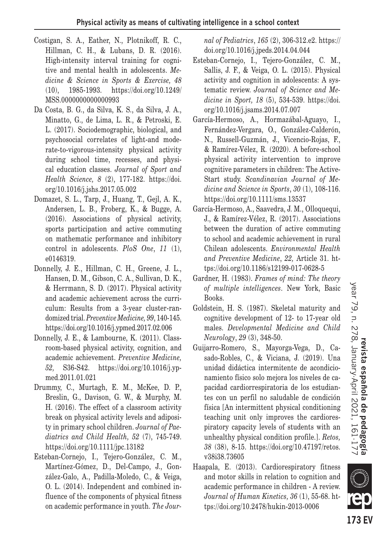- Costigan, S. A., Eather, N., Plotnikoff, R. C., Hillman, C. H., & Lubans, D. R. (2016). High-intensity interval training for cognitive and mental health in adolescents. *Medicine & Science in Sports & Exercise, 48*  (10), 1985-1993. https://doi.org/10.1249/ MSS.0000000000000993
- Da Costa, B. G., da Silva, K. S., da Silva, J. A., Minatto, G., de Lima, L. R., & Petroski, E. L. (2017). Sociodemographic, biological, and psychosocial correlates of light-and moderate-to-vigorous-intensity physical activity during school time, recesses, and physical education classes. *Journal of Sport and Health Science, 8* (2), 177-182. https://doi. org/10.1016/j.jshs.2017.05.002
- Domazet, S. L., Tarp, J., Huang, T., Gejl, A. K., Andersen, L. B., Froberg, K., & Bugge, A. (2016). Associations of physical activity, sports participation and active commuting on mathematic performance and inhibitory control in adolescents. *PloS One*, *11* (1), e0146319.
- Donnelly, J. E., Hillman, C. H., Greene, J. L., Hansen, D. M., Gibson, C. A., Sullivan, D. K., & Herrmann, S. D. (2017). Physical activity and academic achievement across the curriculum: Results from a 3-year cluster-randomized trial. *Preventive Medicine, 99*, 140-145. https://doi.org/10.1016/j.ypmed.2017.02.006
- Donnelly, J. E., & Lambourne, K. (2011). Classroom-based physical activity, cognition, and academic achievement. *Preventive Medicine, 52,* S36-S42. https://doi.org/10.1016/j.ypmed.2011.01.021
- Drummy, C., Murtagh, E. M., McKee, D. P., Breslin, G., Davison, G. W., & Murphy, M. H. (2016). The effect of a classroom activity break on physical activity levels and adiposity in primary school children. *Journal of Paediatrics and Child Health, 52* (7), 745-749. https://doi.org/10.1111/jpc.13182
- Esteban-Cornejo, I., Tejero-González, C. M., Martínez-Gómez, D., Del-Campo, J., González-Galo, A., Padilla-Moledo, C., & Veiga, O. L. (2014). Independent and combined influence of the components of physical fitness on academic performance in youth. *The Jour-*

*nal of Pediatrics*, *165* (2), 306-312.e2. https:// doi.org/10.1016/j.jpeds.2014.04.044

- Esteban-Cornejo, I., Tejero-González, C. M., Sallis, J. F., & Veiga, O. L. (2015). Physical activity and cognition in adolescents: A systematic review. *Journal of Science and Medicine in Sport, 18* (5), 534-539. https://doi. org/10.1016/j.jsams.2014.07.007
- García-Hermoso, A., Hormazábal-Aguayo, I., Fernández-Vergara, O., González-Calderón, N., Russell-Guzmán, J., Vicencio-Rojas, F., & Ramírez-Vélez, R. (2020). A before-school physical activity intervention to improve cognitive parameters in children: The Active-Start study. *Scandinavian Journal of Medicine and Science in Sports*, *30* (1), 108-116. https://doi.org/10.1111/sms.13537
- García-Hermoso, A., Saavedra, J. M., Olloquequi, J., & Ramírez-Vélez, R. (2017). Associations between the duration of active commuting to school and academic achievement in rural Chilean adolescents. *Environmental Health and Preventive Medicine*, *22,* Article 31. https://doi.org/10.1186/s12199-017-0628-5
- Gardner, H. (1983). *Frames of mind: The theory of multiple intelligences*. New York, Basic Books.
- Goldstein, H. S. (1987). Skeletal maturity and cognitive development of 12- to 17-year old males. *Developmental Medicine and Child Neurology*, *29* (3), 348-50.
- Guijarro-Romero, S., Mayorga-Vega, D., Casado-Robles, C., & Viciana, J. (2019). Una unidad didáctica intermitente de acondicionamiento físico solo mejora los niveles de capacidad cardiorrespiratoria de los estudiantes con un perfil no saludable de condición física [An intermittent physical conditioning teaching unit only improves the cardiorespiratory capacity levels of students with an unhealthy physical condition profile.]. *Retos, 38* (38), 8-15. https://doi.org/10.47197/retos. v38i38.73605
- Haapala, E. (2013). Cardiorespiratory fitness and motor skills in relation to cognition and academic performance in children - A review. *Journal of Human Kinetics, 36* (1), 55-68. https://doi.org/10.2478/hukin-2013-0006

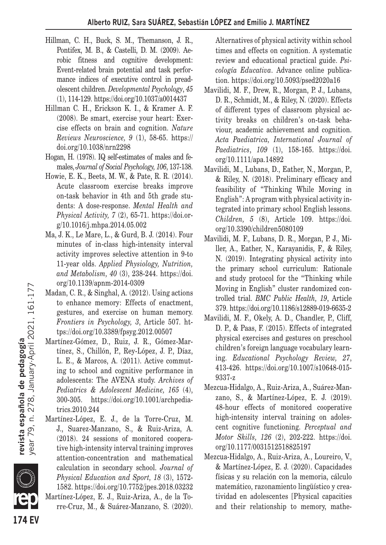- Hillman, C. H., Buck, S. M., Themanson, J. R., Pontifex, M. B., & Castelli, D. M. (2009). Aerobic fitness and cognitive development: Event-related brain potential and task performance indices of executive control in preadolescent children. *Developmental Psychology*, *45*  (1), 114-129. https://doi.org/10.1037/a0014437
- Hillman C. H., Erickson K. I., & Kramer A. F. (2008). Be smart, exercise your heart: Exercise effects on brain and cognition. *Nature Reviews Neuroscience, 9* (1), 58-65. https:// doi.org/10.1038/nrn2298
- Hogan, H. (1978). IQ self-estimates of males and females, *Journal of Social Psychology, 106*, 137-138.
- Howie, E. K., Beets, M. W., & Pate, R. R. (2014). Acute classroom exercise breaks improve on-task behavior in 4th and 5th grade students: A dose-response. *Mental Health and Physical Activity, 7* (2), 65-71. https://doi.org/10.1016/j.mhpa.2014.05.002
- Ma, J. K., Le Mare, L., & Gurd, B. J. (2014). Four minutes of in-class high-intensity interval activity improves selective attention in 9-to 11-year olds. *Applied Physiology, Nutrition, and Metabolism, 40* (3), 238-244. https://doi. org/10.1139/apnm-2014-0309
- Madan, C. R., & Singhal, A. (2012). Using actions to enhance memory: Effects of enactment, gestures, and exercise on human memory. *Frontiers in Psychology, 3*, Article 507. https://doi.org/10.3389/fpsyg.2012.00507
- Martínez-Gómez, D., Ruiz, J. R., Gómez-Martínez, S., Chillón, P., Rey-López, J. P., Díaz, L. E., & Marcos, A. (2011). Active commuting to school and cognitive performance in adolescents: The AVENA study. *Archives of Pediatrics & Adolescent Medicine, 165* (4), 300-305. https://doi.org/10.1001/archpediatrics.2010.244
- Martínez-López, E. J., de la Torre-Cruz, M. J., Suarez-Manzano, S., & Ruiz-Ariza, A. (2018). 24 sessions of monitored cooperative high-intensity interval training improves attention-concentration and mathematical calculation in secondary school. *Journal of Physical Education and Sport, 18* (3), 1572- 1582. https://doi.org/10.7752/jpes.2018.03232 Martínez-López, E. J., Ruiz-Ariza, A., de la Torre-Cruz, M., & Suárez-Manzano, S. (2020).

Alternatives of physical activity within school times and effects on cognition. A systematic review and educational practical guide. *Psicología Educativa*. Advance online publication. https://doi.org/10.5093/psed2020a16

- Mavilidi, M. F., Drew, R., Morgan, P. J., Lubans, D. R., Schmidt, M., & Riley, N. (2020). Effects of different types of classroom physical activity breaks on children's on-task behaviour, academic achievement and cognition. *Acta Paediatrica, International Journal of Paediatrics*, *109* (1), 158-165. https://doi. org/10.1111/apa.14892
- Mavilidi, M., Lubans, D., Eather, N., Morgan, P., & Riley, N. (2018). Preliminary efficacy and feasibility of "Thinking While Moving in English": A program with physical activity integrated into primary school English lessons. *Children, 5* (8), Article 109. https://doi. org/10.3390/children5080109
- Mavilidi, M. F., Lubans, D. R., Morgan, P. J., Miller, A., Eather, N., Karayanidis, F., & Riley, N. (2019). Integrating physical activity into the primary school curriculum: Rationale and study protocol for the "Thinking while Moving in English" cluster randomized controlled trial. *BMC Public Health, 19*, Article 379. https://doi.org/10.1186/s12889-019-6635-2
- Mavilidi, M. F., Okely, A. D., Chandler, P., Cliff, D. P., & Paas, F. (2015). Effects of integrated physical exercises and gestures on preschool children's foreign language vocabulary learning. *Educational Psychology Review, 27*, 413-426. https://doi.org/10.1007/s10648-015- 9337-z
- Mezcua-Hidalgo, A., Ruiz-Ariza, A., Suárez-Manzano, S., & Martínez-López, E. J. (2019). 48-hour effects of monitored cooperative high-intensity interval training on adolescent cognitive functioning. *Perceptual and Motor Skills, 126* (2), 202-222. https://doi. org/10.1177/0031512518825197
- Mezcua-Hidalgo, A., Ruiz-Ariza, A., Loureiro, V., & Martínez-López, E. J. (2020). Capacidades físicas y su relación con la memoria, cálculo matemático, razonamiento lingüístico y creatividad en adolescentes [Physical capacities and their relationship to memory, mathe-



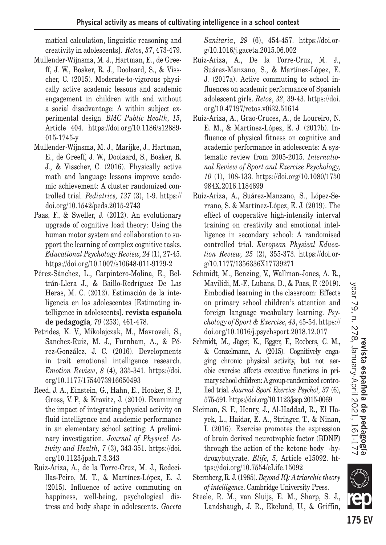matical calculation, linguistic reasoning and creativity in adolescents]. *Retos*, *37*, 473-479.

- Mullender-Wijnsma, M. J., Hartman, E., de Greeff, J. W., Bosker, R. J., Doolaard, S., & Visscher, C. (2015). Moderate-to-vigorous physically active academic lessons and academic engagement in children with and without a social disadvantage: A within subject experimental design. *BMC Public Health, 15*, Article 404. https://doi.org/10.1186/s12889- 015-1745-y
- Mullender-Wijnsma, M. J., Marijke, J., Hartman, E., de Greeff, J. W., Doolaard, S., Bosker, R. J., & Visscher, C. (2016). Physically active math and language lessons improve academic achievement: A cluster randomized controlled trial. *Pediatrics, 137* (3), 1-9. https:// doi.org/10.1542/peds.2015-2743
- Paas, F., & Sweller, J. (2012). An evolutionary upgrade of cognitive load theory: Using the human motor system and collaboration to support the learning of complex cognitive tasks. *Educational Psychology Review, 24* (1), 27-45. https://doi.org/10.1007/s10648-011-9179-2
- Pérez-Sánchez, L., Carpintero-Molina, E., Beltrán-Llera J., & Baillo-Rodríguez De Las Heras, M. C. (2012). Estimación de la inteligencia en los adolescentes [Estimating intelligence in adolescents]. **revista española de pedagogía***, 70* (253), 461-478.
- Petrides, K. V., Mikolajczak, M., Mavroveli, S., Sanchez-Ruiz, M. J., Furnham, A., & Pérez-González, J. C. (2016). Developments in trait emotional intelligence research. *Emotion Review*, *8* (4), 335-341. https://doi. org/10.1177/1754073916650493
- Reed, J. A., Einstein, G., Hahn, E., Hooker, S. P., Gross, V. P., & Kravitz, J. (2010). Examining the impact of integrating physical activity on fluid intelligence and academic performance in an elementary school setting: A preliminary investigation. *Journal of Physical Activity and Health, 7* (3), 343-351. https://doi. org/10.1123/jpah.7.3.343
- Ruiz-Ariza, A., de la Torre-Cruz, M. J., Redecillas-Peiro, M. T., & Martínez-López, E. J. (2015). Influence of active commuting on happiness, well-being, psychological distress and body shape in adolescents. *Gaceta*

*Sanitaria*, *29* (6), 454-457. https://doi.org/10.1016/j.gaceta.2015.06.002

- Ruiz-Ariza, A., De la Torre-Cruz, M. J., Suárez-Manzano, S., & Martínez-López, E. J. (2017a). Active commuting to school influences on academic performance of Spanish adolescent girls. *Retos*, *32*, 39-43. https://doi. org/10.47197/retos.v0i32.51614
- Ruiz-Ariza, A., Grao-Cruces, A., de Loureiro, N. E. M., & Martínez-López, E. J. (2017b). Influence of physical fitness on cognitive and academic performance in adolescents: A systematic review from 2005-2015. *International Review of Sport and Exercise Psychology, 10* (1), 108-133. https://doi.org/10.1080/1750 984X.2016.1184699
- Ruiz-Ariza, A., Suárez-Manzano, S., López-Serrano, S. & Martínez-López, E. J. (2019). The effect of cooperative high-intensity interval training on creativity and emotional intelligence in secondary school: A randomised controlled trial. *European Physical Education Review, 25* (2), 355-373. https://doi.org/10.1177/1356336X17739271
- Schmidt, M., Benzing, V., Wallman-Jones, A. R., Mavilidi, M.-F., Lubans, D., & Paas, F. (2019). Embodied learning in the classroom: Effects on primary school children's attention and foreign language vocabulary learning. *Psychology of Sport & Exercise, 43*, 45-54. https:// doi.org/10.1016/j.psychsport.2018.12.017
- Schmidt, M., Jäger, K., Egger, F., Roebers, C. M., & Conzelmann, A. (2015). Cognitively engaging chronic physical activity, but not aerobic exercise affects executive functions in primary school children: A group-randomized controlled trial. *Journal Sport Exercice Psychol, 37* (6), 575-591. https://doi.org/10.1123/jsep.2015-0069
- Sleiman, S. F., Henry, J., Al-Haddad, R., El Hayek, L., Haidar, E. A., Stringer, T., & Ninan, I. (2016). Exercise promotes the expression of brain derived neurotrophic factor (BDNF) through the action of the ketone body -hydroxybutyrate. *Elife, 5*, Article e15092. https://doi.org/10.7554/eLife.15092
- Sternberg, R. J. (1985). *Beyond IQ: A triarchic theory of intelligence*. Cambridge University Press.
- Steele, R. M., van Sluijs, E. M., Sharp, S. J., Landsbaugh, J. R., Ekelund, U., & Griffin,



**175 EV**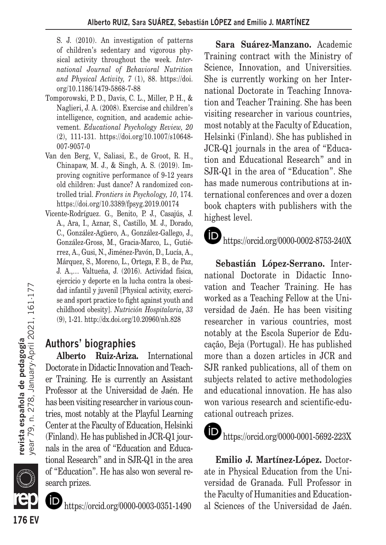S. J. (2010). An investigation of patterns of children's sedentary and vigorous physical activity throughout the week. *International Journal of Behavioral Nutrition and Physical Activity, 7* (1), 88. https://doi. org/10.1186/1479-5868-7-88

- Tomporowski, P. D., Davis, C. L., Miller, P. H., & Naglieri, J. A. (2008). Exercise and children's intelligence, cognition, and academic achievement. *Educational Psychology Review, 20*  (2), 111-131. https://doi.org/10.1007/s10648- 007-9057-0
- Van den Berg, V., Saliasi, E., de Groot, R. H., Chinapaw, M. J., & Singh, A. S. (2019). Improving cognitive performance of 9-12 years old children: Just dance? A randomized controlled trial. *Frontiers in Psychology, 10*, 174. https://doi.org/10.3389/fpsyg.2019.00174
- Vicente-Rodríguez. G., Benito, P. J., Casajús, J. A., Ara, I., Aznar, S., Castillo, M. J., Dorado, C., González-Agüero, A., González-Gallego, J., González-Gross, M., Gracia-Marco, L., Gutiérrez, A., Gusi, N., Jiménez-Pavón, D., Lucía, A., Márquez, S., Moreno, L., Ortega, F. B., de Paz, J. A.,… Valtueña, J. (2016). Actividad física, ejercicio y deporte en la lucha contra la obesidad infantil y juvenil [Physical activity, exercise and sport practice to fight against youth and childhood obesity]. *Nutrición Hospitalaria*, *33* (9), 1-21. http://dx.doi.org/10.20960/nh.828

# **Authors' biographies**

**Alberto Ruiz-Ariza.** International Doctorate in Didactic Innovation and Teacher Training. He is currently an Assistant Professor at the Universidad de Jaén. He has been visiting researcher in various countries, most notably at the Playful Learning Center at the Faculty of Education, Helsinki (Finland). He has published in JCR-Q1 journals in the area of "Education and Educational Research" and in SJR-Q1 in the area of "Education". He has also won several research prizes.



**176 EV**

https://orcid.org/0000-0003-0351-1490

**Sara Suárez-Manzano.** Academic Training contract with the Ministry of Science, Innovation, and Universities. She is currently working on her International Doctorate in Teaching Innovation and Teacher Training. She has been visiting researcher in various countries, most notably at the Faculty of Education, Helsinki (Finland). She has published in JCR-Q1 journals in the area of "Education and Educational Research" and in SJR-Q1 in the area of "Education". She has made numerous contributions at international conferences and over a dozen book chapters with publishers with the highest level.

 $\blacksquare$ https://orcid.org/0000-0002-8753-240X

**Sebastián López-Serrano.** International Doctorate in Didactic Innovation and Teacher Training. He has worked as a Teaching Fellow at the Universidad de Jaén. He has been visiting researcher in various countries, most notably at the Escola Superior de Educação, Beja (Portugal). He has published more than a dozen articles in JCR and SJR ranked publications, all of them on subjects related to active methodologies and educational innovation. He has also won various research and scientific-educational outreach prizes.



# https://orcid.org/0000-0001-5692-223X

**Emilio J. Martínez-López.** Doctorate in Physical Education from the Universidad de Granada. Full Professor in the Faculty of Humanities and Educational Sciences of the Universidad de Jaén.

**revista española de pedagogía**<br>year 79, n. 278, January April 2021, 161-177 year 79, n. 278, January-April 2021, 161-177 **revista española de pedagogía**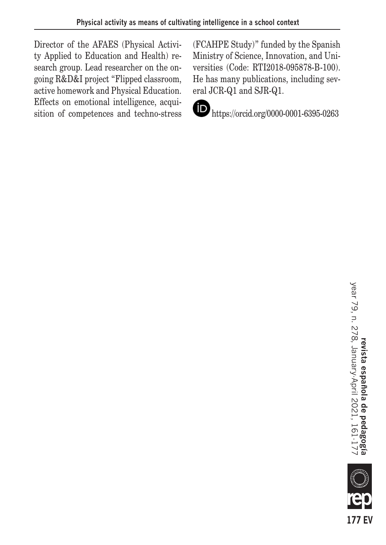Director of the AFAES (Physical Activity Applied to Education and Health) research group. Lead researcher on the ongoing R&D&I project "Flipped classroom, active homework and Physical Education. Effects on emotional intelligence, acquisition of competences and techno-stress (FCAHPE Study)" funded by the Spanish Ministry of Science, Innovation, and Universities (Code: RTI2018-095878-B-100). He has many publications, including several JCR-Q1 and SJR-Q1.



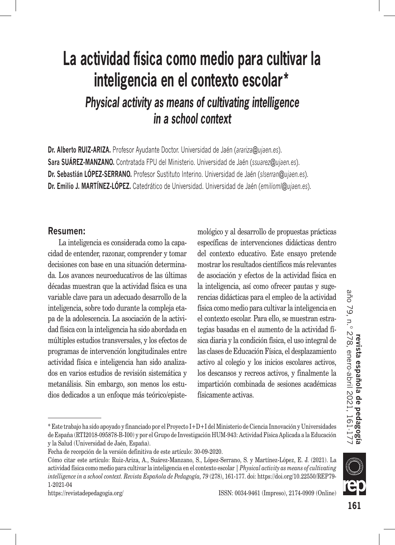# **La actividad física como medio para cultivar la inteligencia en el contexto escolar\*** *Physical activity as means of cultivating intelligence in a school context*

**Dr. Alberto RUIZ-ARIZA.** Profesor Ayudante Doctor. Universidad de Jaén (*arariza@ujaen.es*). **Sara SUÁREZ-MANZANO.** Contratada FPU del Ministerio. Universidad de Jaén (*ssuarez@ujaen.es*). **Dr. Sebastián LÓPEZ-SERRANO.** Profesor Sustituto Interino. Universidad de Jaén (*slserran@ujaen.es*). **Dr. Emilio J. MARTÍNEZ-LÓPEZ.** Catedrático de Universidad. Universidad de Jaén (*emilioml@ujaen.es*).

### **Resumen:**

La inteligencia es considerada como la capacidad de entender, razonar, comprender y tomar decisiones con base en una situación determinada. Los avances neuroeducativos de las últimas décadas muestran que la actividad física es una variable clave para un adecuado desarrollo de la inteligencia, sobre todo durante la compleja etapa de la adolescencia. La asociación de la actividad física con la inteligencia ha sido abordada en múltiples estudios transversales, y los efectos de programas de intervención longitudinales entre actividad física e inteligencia han sido analizados en varios estudios de revisión sistemática y metanálisis. Sin embargo, son menos los estudios dedicados a un enfoque más teórico/epistemológico y al desarrollo de propuestas prácticas específicas de intervenciones didácticas dentro del contexto educativo. Este ensayo pretende mostrar los resultados científicos más relevantes de asociación y efectos de la actividad física en la inteligencia, así como ofrecer pautas y sugerencias didácticas para el empleo de la actividad física como medio para cultivar la inteligencia en el contexto escolar. Para ello, se muestran estrategias basadas en el aumento de la actividad física diaria y la condición física, el uso integral de las clases de Educación Física, el desplazamiento activo al colegio y los inicios escolares activos, los descansos y recreos activos, y finalmente la impartición combinada de sesiones académicas físicamente activas.

<sup>\*</sup> Este trabajo ha sido apoyado y financiado por el Proyecto I+D+I del Ministerio de Ciencia Innovación y Universidades de España (RTI2018-095878-B-I00) y por el Grupo de Investigación HUM-943: Actividad Física Aplicada a la Educación y la Salud (Universidad de Jaén, España).

Fecha de recepción de la versión definitiva de este artículo: 30-09-2020.

Cómo citar este artículo: Ruiz-Ariza, A., Suárez-Manzano, S., López-Serrano, S. y Martínez-López, E. J. (2021). La actividad física como medio para cultivar la inteligencia en el contexto escolar | *Physical activity as means of cultivating intelligence in a school context. Revista Española de Pedagogía, 79* (278), 161-177. doi: https://doi.org/10.22550/REP79- 1-2021-04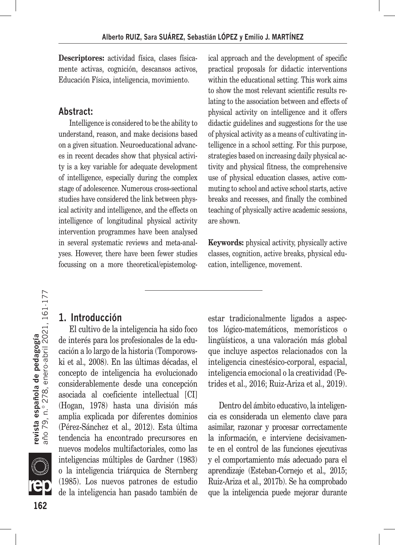**Descriptores:** actividad física, clases físicamente activas, cognición, descansos activos, Educación Física, inteligencia, movimiento.

# **Abstract:**

Intelligence is considered to be the ability to understand, reason, and make decisions based on a given situation. Neuroeducational advances in recent decades show that physical activity is a key variable for adequate development of intelligence, especially during the complex stage of adolescence. Numerous cross-sectional studies have considered the link between physical activity and intelligence, and the effects on intelligence of longitudinal physical activity intervention programmes have been analysed in several systematic reviews and meta-analyses. However, there have been fewer studies focussing on a more theoretical/epistemological approach and the development of specific practical proposals for didactic interventions within the educational setting. This work aims to show the most relevant scientific results relating to the association between and effects of physical activity on intelligence and it offers didactic guidelines and suggestions for the use of physical activity as a means of cultivating intelligence in a school setting. For this purpose, strategies based on increasing daily physical activity and physical fitness, the comprehensive use of physical education classes, active commuting to school and active school starts, active breaks and recesses, and finally the combined teaching of physically active academic sessions, are shown.

**Keywords:** physical activity, physically active classes, cognition, active breaks, physical education, intelligence, movement.

# **revista española de pedagogía**<br>año 79, n.º 278, enero-abril 2021, 161·177 **162revista española de pedagogía** año 79, n.º 278, enero-abril 2021, 161-177



de interés para los profesionales de la educación a lo largo de la historia (Tomporowski et al.*,* 2008). En las últimas décadas, el concepto de inteligencia ha evolucionado considerablemente desde una concepción asociada al coeficiente intellectual [CI] (Hogan, 1978) hasta una división más amplia explicada por diferentes dominios (Pérez-Sánchez et al.*,* 2012). Esta última tendencia ha encontrado precursores en nuevos modelos multifactoriales, como las inteligencias múltiples de Gardner (1983) o la inteligencia triárquica de Sternberg (1985). Los nuevos patrones de estudio de la inteligencia han pasado también de

El cultivo de la inteligencia ha sido foco

**1. Introducción**

estar tradicionalmente ligados a aspectos lógico-matemáticos, memorísticos o lingüísticos, a una valoración más global que incluye aspectos relacionados con la inteligencia cinestésico-corporal, espacial, inteligencia emocional o la creatividad (Petrides et al.*,* 2016; Ruiz-Ariza et al.*,* 2019).

Dentro del ámbito educativo, la inteligencia es considerada un elemento clave para asimilar, razonar y procesar correctamente la información, e interviene decisivamente en el control de las funciones ejecutivas y el comportamiento más adecuado para el aprendizaje (Esteban-Cornejo et al.*,* 2015; Ruiz-Ariza et al.*,* 2017b). Se ha comprobado que la inteligencia puede mejorar durante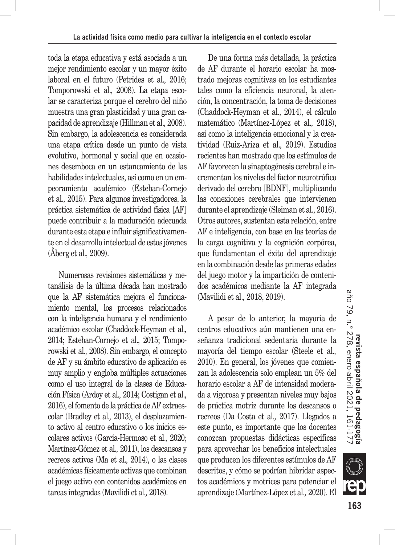toda la etapa educativa y está asociada a un mejor rendimiento escolar y un mayor éxito laboral en el futuro (Petrides et al.*,* 2016; Tomporowski et al.*,* 2008). La etapa escolar se caracteriza porque el cerebro del niño muestra una gran plasticidad y una gran capacidad de aprendizaje (Hillman et al.*,* 2008). Sin embargo, la adolescencia es considerada una etapa crítica desde un punto de vista evolutivo, hormonal y social que en ocasiones desemboca en un estancamiento de las habilidades intelectuales, así como en un empeoramiento académico (Esteban-Cornejo et al.*,* 2015). Para algunos investigadores, la práctica sistemática de actividad física [AF] puede contribuir a la maduración adecuada durante esta etapa e influir significativamente en el desarrollo intelectual de estos jóvenes (Åberg et al.*,* 2009).

Numerosas revisiones sistemáticas y metanálisis de la última década han mostrado que la AF sistemática mejora el funcionamiento mental, los procesos relacionados con la inteligencia humana y el rendimiento académico escolar (Chaddock-Heyman et al.*,* 2014; Esteban-Cornejo et al.*,* 2015; Tomporowski et al.*,* 2008). Sin embargo, el concepto de AF y su ámbito educativo de aplicación es muy amplio y engloba múltiples actuaciones como el uso integral de la clases de Educación Física (Ardoy et al.*,* 2014; Costigan et al.*,* 2016), el fomento de la práctica de AF extraescolar (Bradley et al.*,* 2013), el desplazamiento activo al centro educativo o los inicios escolares activos (García-Hermoso et al.*,* 2020; Martínez-Gómez et al.*,* 2011), los descansos y recreos activos (Ma et al.*,* 2014), o las clases académicas físicamente activas que combinan el juego activo con contenidos académicos en tareas integradas (Mavilidi et al.*,* 2018).

De una forma más detallada, la práctica de AF durante el horario escolar ha mostrado mejoras cognitivas en los estudiantes tales como la eficiencia neuronal, la atención, la concentración, la toma de decisiones (Chaddock-Heyman et al.*,* 2014), el cálculo matemático (Martínez-López et al.*,* 2018), así como la inteligencia emocional y la creatividad (Ruiz-Ariza et al.*,* 2019). Estudios recientes han mostrado que los estímulos de AF favorecen la sinaptogénesis cerebral e incrementan los niveles del factor neurotrófico derivado del cerebro [BDNF], multiplicando las conexiones cerebrales que intervienen durante el aprendizaje (Sleiman et al.*,* 2016). Otros autores, sustentan esta relación, entre AF e inteligencia, con base en las teorías de la carga cognitiva y la cognición corpórea, que fundamentan el éxito del aprendizaje en la combinación desde las primeras edades del juego motor y la impartición de contenidos académicos mediante la AF integrada (Mavilidi et al.*,* 2018, 2019).

A pesar de lo anterior, la mayoría de centros educativos aún mantienen una enseñanza tradicional sedentaria durante la mayoría del tiempo escolar (Steele et al.*,* 2010). En general, los jóvenes que comienzan la adolescencia solo emplean un 5% del horario escolar a AF de intensidad moderada a vigorosa y presentan niveles muy bajos de práctica motriz durante los descansos o recreos (Da Costa et al.*,* 2017). Llegados a este punto, es importante que los docentes conozcan propuestas didácticas específicas para aprovechar los beneficios intelectuales que producen los diferentes estímulos de AF descritos, y cómo se podrían hibridar aspectos académicos y motrices para potenciar el aprendizaje (Martínez-López et al.*,* 2020). El

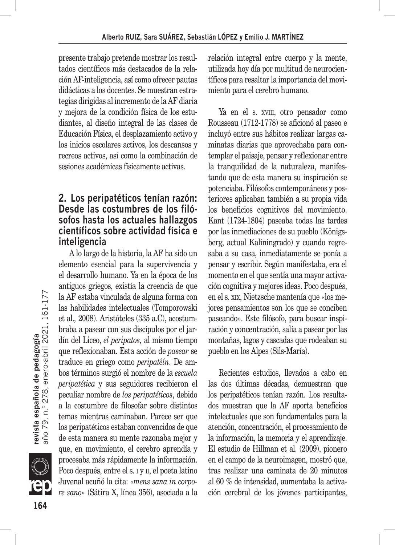presente trabajo pretende mostrar los resultados científicos más destacados de la relación AF-inteligencia, así como ofrecer pautas didácticas a los docentes. Se muestran estrategias dirigidas al incremento de la AF diaria y mejora de la condición física de los estudiantes, al diseño integral de las clases de Educación Física, el desplazamiento activo y los inicios escolares activos, los descansos y recreos activos, así como la combinación de sesiones académicas físicamente activas.

# **2. Los peripatéticos tenían razón: Desde las costumbres de los filósofos hasta los actuales hallazgos científicos sobre actividad física e inteligencia**

A lo largo de la historia, la AF ha sido un elemento esencial para la supervivencia y el desarrollo humano. Ya en la época de los antiguos griegos, existía la creencia de que la AF estaba vinculada de alguna forma con las habilidades intelectuales (Tomporowski et al.*,* 2008). Aristóteles (335 a.C), acostumbraba a pasear con sus discípulos por el jardín del Liceo, *el peripatos,* al mismo tiempo que reflexionaban. Esta acción de *pasear* se traduce en griego como *peripatêín*. De ambos términos surgió el nombre de la *escuela peripatética* y sus seguidores recibieron el peculiar nombre de *los peripatéticos*, debido a la costumbre de filosofar sobre distintos temas mientras caminaban. Parece ser que los peripatéticos estaban convencidos de que de esta manera su mente razonaba mejor y que, en movimiento, el cerebro aprendía y procesaba más rápidamente la información. Poco después, entre el s. i y ii, el poeta latino Juvenal acuñó la cita: *«mens sana in corpore sano»* (Sátira X, línea 356), asociada a la relación integral entre cuerpo y la mente, utilizada hoy día por multitud de neurocientíficos para resaltar la importancia del movimiento para el cerebro humano.

Ya en el s. XVIII, otro pensador como Rousseau (1712-1778) se aficionó al paseo e incluyó entre sus hábitos realizar largas caminatas diarias que aprovechaba para contemplar el paisaje, pensar y reflexionar entre la tranquilidad de la naturaleza, manifestando que de esta manera su inspiración se potenciaba. Filósofos contemporáneos y posteriores aplicaban también a su propia vida los beneficios cognitivos del movimiento. Kant (1724-1804) paseaba todas las tardes por las inmediaciones de su pueblo (Königsberg, actual Kaliningrado) y cuando regresaba a su casa, inmediatamente se ponía a pensar y escribir. Según manifestaba, era el momento en el que sentía una mayor activación cognitiva y mejores ideas. Poco después, en el s. xix, Nietzsche mantenía que «los mejores pensamientos son los que se conciben paseando». Este filósofo, para buscar inspiración y concentración, salía a pasear por las montañas, lagos y cascadas que rodeaban su pueblo en los Alpes (Sils-María).

Recientes estudios, llevados a cabo en las dos últimas décadas, demuestran que los peripatéticos tenían razón. Los resultados muestran que la AF aporta beneficios intelectuales que son fundamentales para la atención, concentración, el procesamiento de la información, la memoria y el aprendizaje. El estudio de Hillman et al. (2009), pionero en el campo de la neuroimagen, mostró que, tras realizar una caminata de 20 minutos al 60 % de intensidad, aumentaba la activación cerebral de los jóvenes participantes,

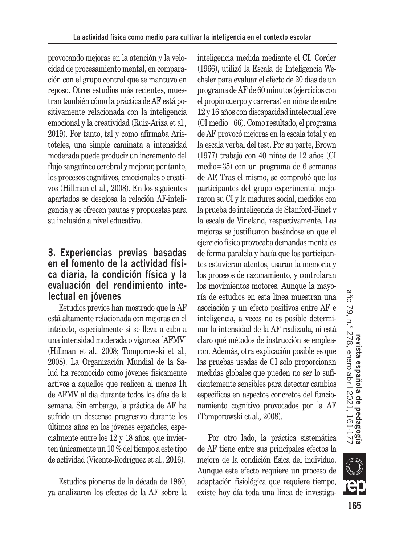provocando mejoras en la atención y la velocidad de procesamiento mental, en comparación con el grupo control que se mantuvo en reposo. Otros estudios más recientes, muestran también cómo la práctica de AF está positivamente relacionada con la inteligencia emocional y la creatividad (Ruiz-Ariza et al.*,* 2019). Por tanto, tal y como afirmaba Aristóteles, una simple caminata a intensidad moderada puede producir un incremento del flujo sanguíneo cerebral y mejorar, por tanto, los procesos cognitivos, emocionales o creativos (Hillman et al.*,* 2008). En los siguientes apartados se desglosa la relación AF-inteligencia y se ofrecen pautas y propuestas para su inclusión a nivel educativo.

# **3. Experiencias previas basadas en el fomento de la actividad física diaria, la condición física y la evaluación del rendimiento intelectual en jóvenes**

Estudios previos han mostrado que la AF está altamente relacionada con mejoras en el intelecto, especialmente si se lleva a cabo a una intensidad moderada o vigorosa [AFMV] (Hillman et al.*,* 2008; Tomporowski et al., 2008). La Organización Mundial de la Salud ha reconocido como jóvenes fisicamente activos a aquellos que realicen al menos 1h de AFMV al día durante todos los días de la semana. Sin embargo, la práctica de AF ha sufrido un descenso progresivo durante los últimos años en los jóvenes españoles, especialmente entre los 12 y 18 años, que invierten únicamente un 10 % del tiempo a este tipo de actividad (Vicente-Rodríguez et al.*,* 2016).

Estudios pioneros de la década de 1960, ya analizaron los efectos de la AF sobre la inteligencia medida mediante el CI. Corder (1966), utilizó la Escala de Inteligencia Wechsler para evaluar el efecto de 20 días de un programa de AF de 60 minutos (ejercicios con el propio cuerpo y carreras) en niños de entre 12 y 16 años con discapacidad intelectual leve (CI medio=66). Como resultado, el programa de AF provocó mejoras en la escala total y en la escala verbal del test. Por su parte, Brown (1977) trabajó con 40 niños de 12 años (CI medio=35) con un programa de 6 semanas de AF. Tras el mismo, se comprobó que los participantes del grupo experimental mejoraron su CI y la madurez social, medidos con la prueba de inteligencia de Stanford-Binet y la escala de Vineland, respectivamente. Las mejoras se justificaron basándose en que el ejercicio físico provocaba demandas mentales de forma paralela y hacía que los participantes estuvieran atentos, usaran la memoria y los procesos de razonamiento, y controlaran los movimientos motores. Aunque la mayoría de estudios en esta línea muestran una asociación y un efecto positivos entre AF e inteligencia, a veces no es posible determinar la intensidad de la AF realizada, ni está claro qué métodos de instrucción se emplearon. Además, otra explicación posible es que las pruebas usadas de CI solo proporcionan medidas globales que pueden no ser lo suficientemente sensibles para detectar cambios específicos en aspectos concretos del funcionamiento cognitivo provocados por la AF (Tomporowski et al.*,* 2008).

Por otro lado, la práctica sistemática de AF tiene entre sus principales efectos la mejora de la condición física del individuo. Aunque este efecto requiere un proceso de adaptación fisiológica que requiere tiempo, existe hoy día toda una línea de investiga-

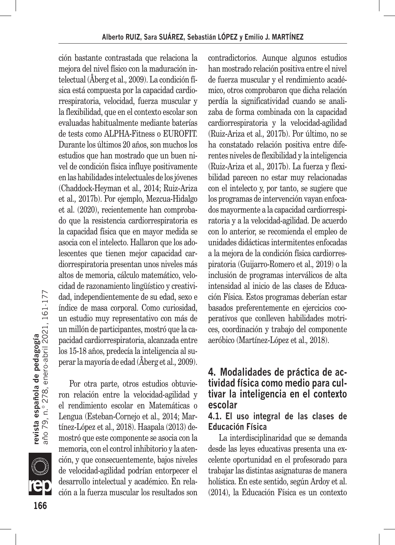ción bastante contrastada que relaciona la mejora del nivel físico con la maduración intelectual (Åberg et al.*,* 2009). La condición física está compuesta por la capacidad cardiorrespiratoria, velocidad, fuerza muscular y la flexibilidad, que en el contexto escolar son evaluadas habitualmente mediante baterías de tests como ALPHA-Fitness o EUROFIT. Durante los últimos 20 años, son muchos los estudios que han mostrado que un buen nivel de condición física influye positivamente en las habilidades intelectuales de los jóvenes (Chaddock-Heyman et al.*,* 2014; Ruiz-Ariza et al.*,* 2017b). Por ejemplo, Mezcua-Hidalgo et al. (2020), recientemente han comprobado que la resistencia cardiorrespiratoria es la capacidad física que en mayor medida se asocia con el intelecto. Hallaron que los adolescentes que tienen mejor capacidad cardiorrespiratoria presentan unos niveles más altos de memoria, cálculo matemático, velocidad de razonamiento lingüístico y creatividad, independientemente de su edad, sexo e índice de masa corporal. Como curiosidad, un estudio muy representativo con más de un millón de participantes, mostró que la capacidad cardiorrespiratoria, alcanzada entre los 15-18 años, predecía la inteligencia al superar la mayoría de edad (Åberg et al.*,* 2009).

Por otra parte, otros estudios obtuvieron relación entre la velocidad-agilidad y el rendimiento escolar en Matemáticas o Lengua (Esteban-Cornejo et al.*,* 2014; Martínez-López et al.*,* 2018). Haapala (2013) demostró que este componente se asocia con la memoria, con el control inhibitorio y la atención, y que consecuentemente, bajos niveles de velocidad-agilidad podrían entorpecer el desarrollo intelectual y académico. En relación a la fuerza muscular los resultados son contradictorios. Aunque algunos estudios han mostrado relación positiva entre el nivel de fuerza muscular y el rendimiento académico, otros comprobaron que dicha relación perdía la significatividad cuando se analizaba de forma combinada con la capacidad cardiorrespiratoria y la velocidad-agilidad (Ruiz-Ariza et al.*,* 2017b). Por último, no se ha constatado relación positiva entre diferentes niveles de flexibilidad y la inteligencia (Ruiz-Ariza et al.*,* 2017b). La fuerza y flexibilidad parecen no estar muy relacionadas con el intelecto y, por tanto, se sugiere que los programas de intervención vayan enfocados mayormente a la capacidad cardiorrespiratoria y a la velocidad-agilidad. De acuerdo con lo anterior, se recomienda el empleo de unidades didácticas intermitentes enfocadas a la mejora de la condición física cardiorrespiratoria (Guijarro-Romero et al.*,* 2019) o la inclusión de programas interválicos de alta intensidad al inicio de las clases de Educación Física. Estos programas deberían estar basados preferentemente en ejercicios cooperativos que conlleven habilidades motrices, coordinación y trabajo del componente aeróbico (Martínez-López et al.*,* 2018).

# **4. Modalidades de práctica de actividad física como medio para cultivar la inteligencia en el contexto escolar**

### **4.1. El uso integral de las clases de Educación Física**

La interdisciplinaridad que se demanda desde las leyes educativas presenta una excelente oportunidad en el profesorado para trabajar las distintas asignaturas de manera holística. En este sentido, según Ardoy et al. (2014), la Educación Física es un contexto

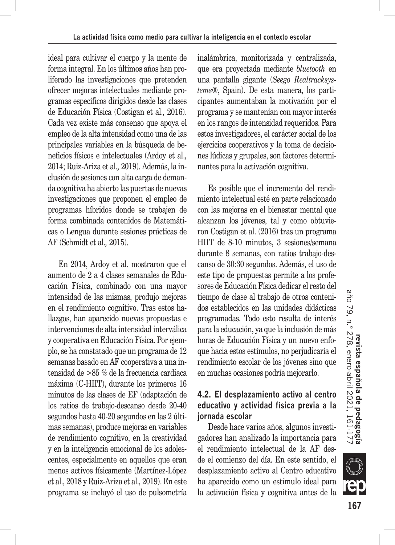ideal para cultivar el cuerpo y la mente de forma integral. En los últimos años han proliferado las investigaciones que pretenden ofrecer mejoras intelectuales mediante programas específicos dirigidos desde las clases de Educación Física (Costigan et al.*,* 2016). Cada vez existe más consenso que apoya el empleo de la alta intensidad como una de las principales variables en la búsqueda de beneficios físicos e intelectuales (Ardoy et al.*,* 2014; Ruiz-Ariza et al.*,* 2019). Además, la inclusión de sesiones con alta carga de demanda cognitiva ha abierto las puertas de nuevas investigaciones que proponen el empleo de programas híbridos donde se trabajen de forma combinada contenidos de Matemáticas o Lengua durante sesiones prácticas de AF (Schmidt et al.*,* 2015).

En 2014, Ardoy et al. mostraron que el aumento de 2 a 4 clases semanales de Educación Física, combinado con una mayor intensidad de las mismas, produjo mejoras en el rendimiento cognitivo. Tras estos hallazgos, han aparecido nuevas propuestas e intervenciones de alta intensidad interválica y cooperativa en Educación Física. Por ejemplo, se ha constatado que un programa de 12 semanas basado en AF cooperativa a una intensidad de >85 % de la frecuencia cardiaca máxima (C-HIIT), durante los primeros 16 minutos de las clases de EF (adaptación de los ratios de trabajo-descanso desde 20-40 segundos hasta 40-20 segundos en las 2 últimas semanas), produce mejoras en variables de rendimiento cognitivo, en la creatividad y en la inteligencia emocional de los adolescentes, especialmente en aquellos que eran menos activos físicamente (Martínez-López et al.*,* 2018 y Ruiz-Ariza et al.*,* 2019). En este programa se incluyó el uso de pulsometría inalámbrica, monitorizada y centralizada, que era proyectada mediante *bluetooth* en una pantalla gigante (*Seego Realtracksystems*®, Spain). De esta manera, los participantes aumentaban la motivación por el programa y se mantenían con mayor interés en los rangos de intensidad requeridos. Para estos investigadores, el carácter social de los ejercicios cooperativos y la toma de decisiones lúdicas y grupales, son factores determinantes para la activación cognitiva.

Es posible que el incremento del rendimiento intelectual esté en parte relacionado con las mejoras en el bienestar mental que alcanzan los jóvenes, tal y como obtuvieron Costigan et al. (2016) tras un programa HIIT de 8-10 minutos, 3 sesiones/semana durante 8 semanas, con ratios trabajo-descanso de 30:30 segundos. Además, el uso de este tipo de propuestas permite a los profesores de Educación Física dedicar el resto del tiempo de clase al trabajo de otros contenidos establecidos en las unidades didácticas programadas. Todo esto resulta de interés para la educación, ya que la inclusión de más horas de Educación Física y un nuevo enfoque hacia estos estímulos, no perjudicaría el rendimiento escolar de los jóvenes sino que en muchas ocasiones podría mejorarlo.

# **4.2. El desplazamiento activo al centro educativo y actividad física previa a la jornada escolar**

Desde hace varios años, algunos investigadores han analizado la importancia para el rendimiento intelectual de la AF desde el comienzo del día. En este sentido, el desplazamiento activo al Centro educativo ha aparecido como un estímulo ideal para la activación física y cognitiva antes de la

**SIII**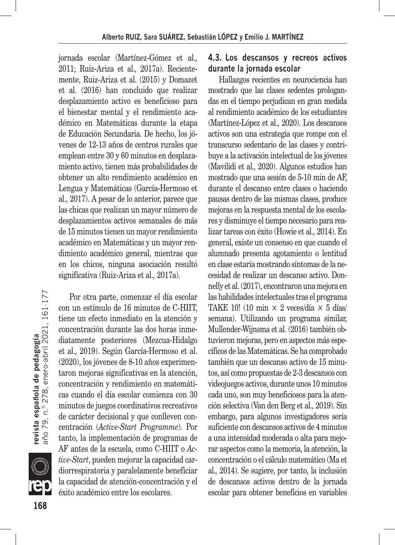jornada escolar (Martínez-Gómez et al.*,* 2011; Ruiz-Ariza et al.*,* 2017a). Recientemente, Ruiz-Ariza et al. (2015) y Domazet et al. (2016) han concluido que realizar desplazamiento activo es beneficioso para el bienestar mental y el rendimiento académico en Matemáticas durante la etapa de Educación Secundaria. De hecho, los jóvenes de 12-13 años de centros rurales que emplean entre 30 y 60 minutos en desplazamiento activo, tienen más probabilidades de obtener un alto rendimiento académico en Lengua y Matemáticas (García-Hermoso et al.*,* 2017). A pesar de lo anterior, parece que las chicas que realizan un mayor número de desplazamientos activos semanales de más de 15 minutos tienen un mayor rendimiento académico en Matemáticas y un mayor rendimiento académico general, mientras que en los chicos, ninguna asociación resultó significativa (Ruiz-Ariza et al.*,* 2017a).

**revista española de pedagogía**<br>año 79, n.º 278, enero-abril 2021, 161·177 **168revista española de pedagogía** año 79, n.º 278, enero-abril 2021, 161-177 Por otra parte, comenzar el día escolar



con un estímulo de 16 minutos de C-HIIT, tiene un efecto inmediato en la atención y concentración durante las dos horas inmediatamente posteriores (Mezcua-Hidalgo et al.*,* 2019). Según García-Hermoso et al. (2020), los jóvenes de 8-10 años experimentaron mejoras significativas en la atención, concentración y rendimiento en matemáticas cuando el día escolar comienza con 30 minutos de juegos coordinativos recreativos de carácter decisional y que conlleven concentración (*Active-Start Programme*). Por tanto, la implementación de programas de AF antes de la escuela, como C-HIIT o *Active-Start*, pueden mejorar la capacidad cardiorrespiratoria y paralelamente beneficiar la capacidad de atención-concentración y el éxito académico entre los escolares.

# **4.3. Los descansos y recreos activos durante la jornada escolar**

Hallazgos recientes en neurociencia han mostrado que las clases sedentes prologandas en el tiempo perjudican en gran medida al rendimiento académico de los estudiantes (Martínez-López et al.*,* 2020). Los descansos activos son una estrategia que rompe con el transcurso sedentario de las clases y contribuye a la activación intelectual de los jóvenes (Mavilidi et al.*,* 2020). Algunos estudios han mostrado que una sesión de 5-10 min de AF, durante el descanso entre clases o haciendo pausas dentro de las mismas clases, produce mejoras en la respuesta mental de los escolares y disminuye el tiempo necesario para realizar tareas con éxito (Howie et al.*,* 2014). En general, existe un consenso en que cuando el alumnado presenta agotamiento o lentitud en clase estaría mostrando síntomas de la necesidad de realizar un descanso activo. Donnelly et al. (2017), encontraron una mejora en las habilidades intelectuales tras el programa TAKE 10! (10 min  $\times$  2 veces/día  $\times$  5 días/ semana). Utilizando un programa similar, Mullender-Wijnsma et al. (2016) también obtuvieron mejoras, pero en aspectos más específicos de las Matemáticas. Se ha comprobado también que un descanso activo de 15 minutos, así como propuestas de 2-3 descansos con videojuegos activos, durante unos 10 minutos cada uno, son muy beneficiosos para la atención selectiva (Van den Berg et al.*,* 2019). Sin embargo, para algunos investigadores sería suficiente con descansos activos de 4 minutos a una intensidad moderada o alta para mejorar aspectos como la memoria, la atención, la concentración o el cálculo matemático (Ma et al.*,* 2014). Se sugiere, por tanto, la inclusión de descansos activos dentro de la jornada escolar para obtener beneficios en variables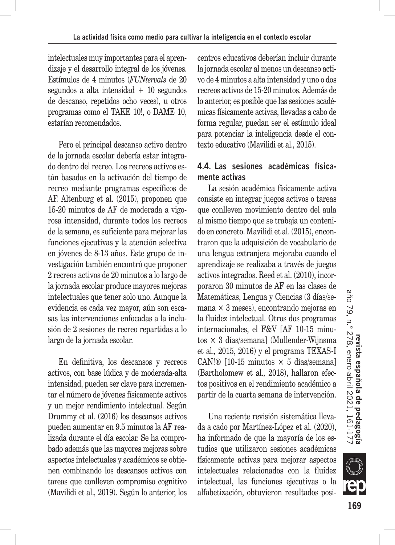intelectuales muy importantes para el aprendizaje y el desarrollo integral de los jóvenes. Estímulos de 4 minutos (*FUNtervals* de 20 segundos a alta intensidad + 10 segundos de descanso, repetidos ocho veces), u otros programas como el TAKE 10!, o DAME 10, estarían recomendados.

Pero el principal descanso activo dentro de la jornada escolar debería estar integrado dentro del recreo. Los recreos activos están basados en la activación del tiempo de recreo mediante programas específicos de AF. Altenburg et al. (2015), proponen que 15-20 minutos de AF de moderada a vigorosa intensidad, durante todos los recreos de la semana, es suficiente para mejorar las funciones ejecutivas y la atención selectiva en jóvenes de 8-13 años. Este grupo de investigación también encontró que proponer 2 recreos activos de 20 minutos a lo largo de la jornada escolar produce mayores mejoras intelectuales que tener solo uno. Aunque la evidencia es cada vez mayor, aún son escasas las intervenciones enfocadas a la inclusión de 2 sesiones de recreo repartidas a lo largo de la jornada escolar.

En definitiva, los descansos y recreos activos, con base lúdica y de moderada-alta intensidad, pueden ser clave para incrementar el número de jóvenes físicamente activos y un mejor rendimiento intelectual. Según Drummy et al. (2016) los descansos activos pueden aumentar en 9.5 minutos la AF realizada durante el día escolar. Se ha comprobado además que las mayores mejoras sobre aspectos intelectuales y académicos se obtienen combinando los descansos activos con tareas que conlleven compromiso cognitivo (Mavilidi et al.*,* 2019). Según lo anterior, los centros educativos deberían incluir durante la jornada escolar al menos un descanso activo de 4 minutos a alta intensidad y uno o dos recreos activos de 15-20 minutos. Además de lo anterior, es posible que las sesiones académicas físicamente activas, llevadas a cabo de forma regular, puedan ser el estímulo ideal para potenciar la inteligencia desde el contexto educativo (Mavilidi et al.*,* 2015).

# **4.4. Las sesiones académicas físicamente activas**

La sesión académica físicamente activa consiste en integrar juegos activos o tareas que conlleven movimiento dentro del aula al mismo tiempo que se trabaja un contenido en concreto. Mavilidi et al. (2015), encontraron que la adquisición de vocabulario de una lengua extranjera mejoraba cuando el aprendizaje se realizaba a través de juegos activos integrados. Reed et al. (2010), incorporaron 30 minutos de AF en las clases de Matemáticas, Lengua y Ciencias (3 días/semana × 3 meses), encontrando mejoras en la fluidez intelectual. Otros dos programas internacionales, el F&V [AF 10-15 minutos × 3 días/semana] (Mullender-Wijnsma et al.*,* 2015, 2016) y el programa TEXAS-I CAN!® [10-15 minutos  $\times$  5 días/semana] (Bartholomew et al.*,* 2018), hallaron efectos positivos en el rendimiento académico a partir de la cuarta semana de intervención.

Una reciente revisión sistemática llevada a cado por Martínez-López et al. (2020), ha informado de que la mayoría de los estudios que utilizaron sesiones académicas físicamente activas para mejorar aspectos intelectuales relacionados con la fluidez intelectual, las funciones ejecutivas o la alfabetización, obtuvieron resultados posi-

**SILLE**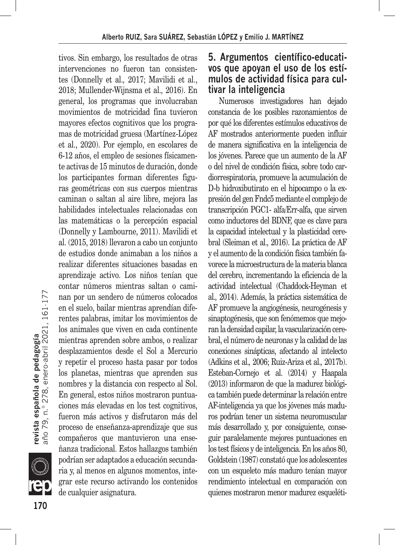tivos. Sin embargo, los resultados de otras intervenciones no fueron tan consistentes (Donnelly et al.*,* 2017; Mavilidi et al., 2018; Mullender-Wijnsma et al.*,* 2016). En general, los programas que involucraban movimientos de motricidad fina tuvieron mayores efectos cognitivos que los programas de motricidad gruesa (Martínez-López et al., 2020). Por ejemplo, en escolares de 6-12 años, el empleo de sesiones físicamente activas de 15 minutos de duración, donde los participantes forman diferentes figuras geométricas con sus cuerpos mientras caminan o saltan al aire libre, mejora las habilidades intelectuales relacionadas con las matemáticas o la percepción espacial (Donnelly y Lambourne, 2011). Mavilidi et al. (2015, 2018) llevaron a cabo un conjunto de estudios donde animaban a los niños a realizar diferentes situaciones basadas en aprendizaje activo. Los niños tenían que contar números mientras saltan o caminan por un sendero de números colocados en el suelo, bailar mientras aprendían diferentes palabras, imitar los movimientos de los animales que viven en cada continente mientras aprenden sobre ambos, o realizar desplazamientos desde el Sol a Mercurio y repetir el proceso hasta pasar por todos los planetas, mientras que aprenden sus nombres y la distancia con respecto al Sol. En general, estos niños mostraron puntuaciones más elevadas en los test cognitivos, fueron más activos y disfrutaron más del proceso de enseñanza-aprendizaje que sus compañeros que mantuvieron una enseñanza tradicional. Estos hallazgos también podrían ser adaptados a educación secundaria y, al menos en algunos momentos, integrar este recurso activando los contenidos de cualquier asignatura.

# **5. Argumentos científico-educativos que apoyan el uso de los estímulos de actividad física para cultivar la inteligencia**

Numerosos investigadores han dejado constancia de los posibles razonamientos de por qué los diferentes estímulos educativos de AF mostrados anteriormente pueden influir de manera significativa en la inteligencia de los jóvenes. Parece que un aumento de la AF o del nivel de condición física, sobre todo cardiorrespiratoria, promueve la acumulación de D-b hidroxibutirato en el hipocampo o la expresión del gen Fndc5 mediante el complejo de transcripción PGC1- alfa/Err-alfa, que sirven como inductores del BDNF, que es clave para la capacidad intelectual y la plasticidad cerebral (Sleiman et al.*,* 2016). La práctica de AF y el aumento de la condición física también favorece la microestructura de la materia blanca del cerebro, incrementando la eficiencia de la actividad intelectual (Chaddock-Heyman et al.*,* 2014). Además, la práctica sistemática de AF promueve la angiogénesis, neurogénesis y sinaptogénesis, que son fenómemos que mejoran la densidad capilar, la vascularización cerebral, el número de neuronas y la calidad de las conexiones sinápticas, afectando al intelecto (Adkins et al.*,* 2006; Ruiz-Ariza et al.*,* 2017b). Esteban-Cornejo et al. (2014) y Haapala (2013) informaron de que la madurez biológica también puede determinar la relación entre AF-inteligencia ya que los jóvenes más maduros podrían tener un sistema neuromuscular más desarrollado y, por consiguiente, conseguir paralelamente mejores puntuaciones en los test físicos y de inteligencia. En los años 80, Goldstein (1987) constató que los adolescentes con un esqueleto más maduro tenían mayor rendimiento intelectual en comparación con quienes mostraron menor madurez esqueléti-

n<br>K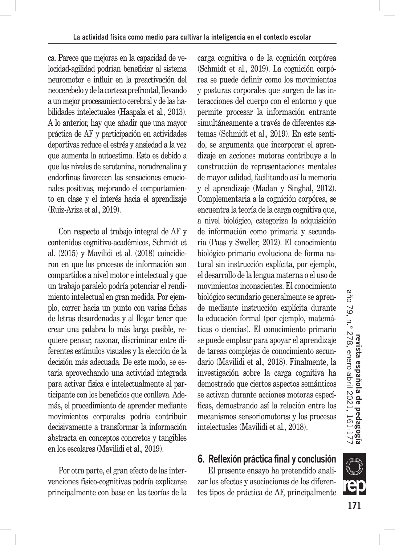ca. Parece que mejoras en la capacidad de velocidad-agilidad podrían beneficiar al sistema neuromotor e influir en la preactivación del neocerebelo y de la corteza prefrontal, llevando a un mejor procesamiento cerebral y de las habilidades intelectuales (Haapala et al.*,* 2013). A lo anterior, hay que añadir que una mayor práctica de AF y participación en actividades deportivas reduce el estrés y ansiedad a la vez que aumenta la autoestima. Esto es debido a que los niveles de serotonina, noradrenalina y endorfinas favorecen las sensaciones emocionales positivas, mejorando el comportamiento en clase y el interés hacia el aprendizaje (Ruiz-Ariza et al.*,* 2019).

Con respecto al trabajo integral de AF y contenidos cognitivo-académicos, Schmidt et al. (2015) y Mavilidi et al. (2018) coincidieron en que los procesos de información son compartidos a nivel motor e intelectual y que un trabajo paralelo podría potenciar el rendimiento intelectual en gran medida. Por ejemplo, correr hacia un punto con varias fichas de letras desordenadas y al llegar tener que crear una palabra lo más larga posible, requiere pensar, razonar, discriminar entre diferentes estímulos visuales y la elección de la decisión más adecuada. De este modo, se estaría aprovechando una actividad integrada para activar física e intelectualmente al participante con los beneficios que conlleva. Además, el procedimiento de aprender mediante movimientos corporales podría contribuir decisivamente a transformar la información abstracta en conceptos concretos y tangibles en los escolares (Mavilidi et al.*,* 2019).

Por otra parte, el gran efecto de las intervenciones físico-cognitivas podría explicarse principalmente con base en las teorías de la carga cognitiva o de la cognición corpórea (Schmidt et al.*,* 2019). La cognición corpórea se puede definir como los movimientos y posturas corporales que surgen de las interacciones del cuerpo con el entorno y que permite procesar la información entrante simultáneamente a través de diferentes sistemas (Schmidt et al.*,* 2019). En este sentido, se argumenta que incorporar el aprendizaje en acciones motoras contribuye a la construcción de representaciones mentales de mayor calidad, facilitando así la memoria y el aprendizaje (Madan y Singhal, 2012). Complementaria a la cognición corpórea, se encuentra la teoría de la carga cognitiva que, a nivel biológico, categoriza la adquisición de información como primaria y secundaria (Paas y Sweller, 2012). El conocimiento biológico primario evoluciona de forma natural sin instrucción explícita, por ejemplo, el desarrollo de la lengua materna o el uso de movimientos inconscientes. El conocimiento biológico secundario generalmente se aprende mediante instrucción explícita durante la educación formal (por ejemplo, matemáticas o ciencias). El conocimiento primario se puede emplear para apoyar el aprendizaje de tareas complejas de conocimiento secundario (Mavilidi et al.*,* 2018). Finalmente, la investigación sobre la carga cognitiva ha demostrado que ciertos aspectos semánticos se activan durante acciones motoras específicas, demostrando así la relación entre los mecanismos sensoriomotores y los procesos intelectuales (Mavilidi et al.*,* 2018).

**6. Reflexión práctica final y conclusión**

El presente ensayo ha pretendido analizar los efectos y asociaciones de los diferentes tipos de práctica de AF, principalmente



**SILLE**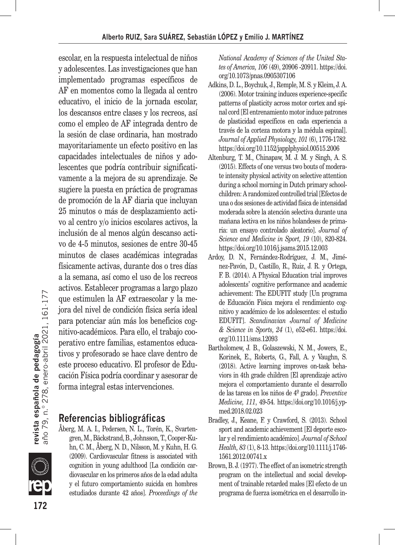escolar, en la respuesta intelectual de niños y adolescentes. Las investigaciones que han implementado programas específicos de AF en momentos como la llegada al centro educativo, el inicio de la jornada escolar, los descansos entre clases y los recreos, así como el empleo de AF integrada dentro de la sesión de clase ordinaria, han mostrado mayoritariamente un efecto positivo en las capacidades intelectuales de niños y adolescentes que podría contribuir significativamente a la mejora de su aprendizaje. Se sugiere la puesta en práctica de programas de promoción de la AF diaria que incluyan 25 minutos o más de desplazamiento activo al centro y/o inicios escolares activos, la inclusión de al menos algún descanso activo de 4-5 minutos, sesiones de entre 30-45 minutos de clases académicas integradas físicamente activas, durante dos o tres días a la semana, así como el uso de los recreos activos. Establecer programas a largo plazo que estimulen la AF extraescolar y la mejora del nivel de condición física sería ideal para potenciar aún más los beneficios cognitivo-académicos. Para ello, el trabajo cooperativo entre familias, estamentos educativos y profesorado se hace clave dentro de este proceso educativo. El profesor de Educación Física podría coordinar y asesorar de forma integral estas intervenciones.

# **Referencias bibliográficas**

Åberg, M. A. I., Pedersen, N. L., Torén, K., Svartengren, M., Bäckstrand, B., Johnsson, T., Cooper-Kuhn, C. M., Åberg, N. D., Nilsson, M. y Kuhn, H. G. (2009). Cardiovascular fitness is associated with cognition in young adulthood [La condición cardiovascular en los primeros años de la edad adulta y el futuro comportamiento suicida en hombres estudiados durante 42 años]. *Proceedings of the*  *National Academy of Sciences of the United States of America, 106* (49), 20906 -20911. https://doi. org/10.1073/pnas.0905307106

- Adkins, D. L., Boychuk, J., Remple, M. S. y Kleim, J. A. (2006). Motor training induces experience-specific patterns of plasticity across motor cortex and spinal cord [El entrenamiento motor induce patrones de plasticidad específicos en cada experiencia a través de la corteza motora y la médula espinal]. *Journal of Applied Physiology, 101* (6), 1776-1782. https://doi.org/10.1152/japplphysiol.00515.2006
- Altenburg, T. M., Chinapaw, M. J. M. y Singh, A. S. (2015). Effects of one versus two bouts of moderate intensity physical activity on selective attention during a school morning in Dutch primary schoolchildren: A randomized controlled trial [Efectos de una o dos sesiones de actividad física de intensidad moderada sobre la atención selectiva durante una mañana lectiva en los niños holandeses de primaria: un ensayo controlado aleatorio]. *Journal of Science and Medicine in Sport, 19* (10), 820-824. https://doi.org/10.1016/j.jsams.2015.12.003
- Ardoy, D. N., Fernández-Rodríguez, J. M., Jiménez-Pavón, D., Castillo, R., Ruiz, J. R. y Ortega, F. B. (2014). A Physical Education trial improves adolescents' cognitive performance and academic achievement: The EDUFIT study [Un programa de Educación Física mejora el rendimiento cognitivo y académico de los adolescentes: el estudio EDUFIT]. *Scandinavian Journal of Medicine & Science in Sports, 24* (1), e52-e61. https://doi. org/10.1111/sms.12093
- Bartholomew, J. B., Golaszewski, N. M., Jowers, E., Korinek, E., Roberts, G., Fall, A. y Vaughn, S. (2018). Active learning improves on-task behaviors in 4th grade children [El aprendizaje activo mejora el comportamiento durante el desarrollo de las tareas en los niños de 4º grado]. *Preventive Medicine, 111*, 49-54. https://doi.org/10.1016/j.ypmed.2018.02.023
- Bradley, J., Keane, F. y Crawford, S. (2013). School sport and academic achievement [El deporte escolar y el rendimiento académico]. *Journal of School Health, 83* (1), 8-13. https://doi.org/10.1111/j.1746- 1561.2012.00741.x
- Brown, B. J. (1977). The effect of an isometric strength program on the intellectual and social development of trainable retarded males [El efecto de un programa de fuerza isométrica en el desarrollo in-

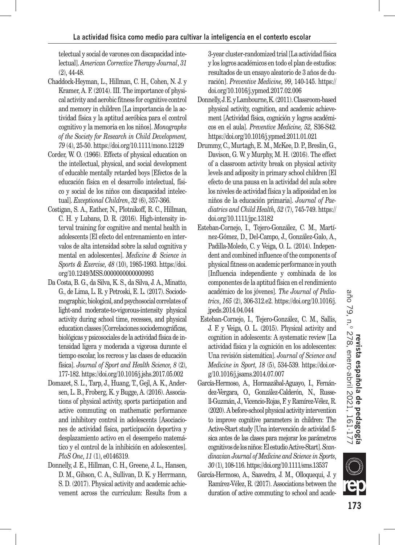telectual y social de varones con discapacidad intelectual]. *American Corrective Therapy Journal*, *31*  (2), 44-48.

- Chaddock-Heyman, L., Hillman, C. H., Cohen, N. J. y Kramer, A. F. (2014). III. The importance of physical activity and aerobic fitness for cognitive control and memory in children [La importancia de la actividad física y la aptitud aeróbica para el control cognitivo y la memoria en los niños]. *Monographs of the Society for Research in Child Development, 79* (4), 25-50. https://doi.org/10.1111/mono.12129
- Corder, W. O. (1966). Effects of physical education on the intellectual, physical, and social development of educable mentally retarded boys [Efectos de la educación física en el desarrollo intelectual, físico y social de los niños con discapacidad intelectual]. *Exceptional Children*, *32* (6), 357-366.
- Costigan, S. A., Eather, N., Plotnikoff, R. C., Hillman, C. H. y Lubans, D. R. (2016). High-intensity interval training for cognitive and mental health in adolescents [El efecto del entrenamiento en intervalos de alta intensidad sobre la salud cognitiva y mental en adolescentes]. *Medicine & Science in Sports & Exercise, 48* (10), 1985-1993. https://doi. org/10.1249/MSS.0000000000000993
- Da Costa, B. G., da Silva, K. S., da Silva, J. A., Minatto, G., de Lima, L. R. y Petroski, E. L. (2017). Sociodemographic, biological, and psychosocial correlates of light-and moderate-to-vigorous-intensity physical activity during school time, recesses, and physical education classes [Correlaciones sociodemográficas, biológicas y psicosociales de la actividad física de intensidad ligera y moderada a vigorosa durante el tiempo escolar, los recreos y las clases de educación física]. *Journal of Sport and Health Science, 8* (2), 177-182. https://doi.org/10.1016/j.jshs.2017.05.002
- Domazet, S. L., Tarp, J., Huang, T., Gejl, A. K., Andersen, L. B., Froberg, K. y Bugge, A. (2016). Associations of physical activity, sports participation and active commuting on mathematic performance and inhibitory control in adolescents [Asociaciones de actividad física, participación deportiva y desplazamiento activo en el desempeño matemático y el control de la inhibición en adolescentes]. *PloS One*, *11* (1), e0146319.
- Donnelly, J. E., Hillman, C. H., Greene, J. L., Hansen, D. M., Gibson, C. A., Sullivan, D. K. y Herrmann, S. D. (2017). Physical activity and academic achievement across the curriculum: Results from a

3-year cluster-randomized trial [La actividad física y los logros académicos en todo el plan de estudios: resultados de un ensayo aleatorio de 3 años de duración]. *Preventive Medicine, 99*, 140-145. https:// doi.org/10.1016/j.ypmed.2017.02.006

- Donnelly, J. E. y Lambourne, K. (2011). Classroom-based physical activity, cognition, and academic achievement [Actividad física, cognición y logros académicos en el aula]. *Preventive Medicine, 52,* S36-S42. https://doi.org/10.1016/j.ypmed.2011.01.021
- Drummy, C., Murtagh, E. M., McKee, D. P., Breslin, G., Davison, G. W. y Murphy, M. H. (2016). The effect of a classroom activity break on physical activity levels and adiposity in primary school children [El efecto de una pausa en la actividad del aula sobre los niveles de actividad física y la adiposidad en los niños de la educación primaria]. *Journal of Paediatrics and Child Health, 52* (7), 745-749. https:// doi.org/10.1111/jpc.13182
- Esteban-Cornejo, I., Tejero-González, C. M., Martínez-Gómez, D., Del-Campo, J., González-Galo, A., Padilla-Moledo, C. y Veiga, O. L. (2014). Independent and combined influence of the components of physical fitness on academic performance in youth [Influencia independiente y combinada de los componentes de la aptitud física en el rendimiento académico de los jóvenes]. *The Journal of Pediatrics*, *165* (2), 306-312.e2. https://doi.org/10.1016/j. jpeds.2014.04.044
- Esteban-Cornejo, I., Tejero-González, C. M., Sallis, J. F. y Veiga, O. L. (2015). Physical activity and cognition in adolescents: A systematic review [La actividad física y la cognición en los adolescentes: Una revisión sistemática]. *Journal of Science and Medicine in Sport, 18* (5), 534-539. https://doi.org/10.1016/j.jsams.2014.07.007
- García-Hermoso, A., Hormazábal-Aguayo, I., Fernández-Vergara, O., González-Calderón, N., Russell-Guzmán, J., Vicencio-Rojas, F. y Ramírez-Vélez, R. (2020). A before-school physical activity intervention to improve cognitive parameters in children: The Active-Start study [Una intervención de actividad física antes de las clases para mejorar los parámetros cognitivos de los niños: El estudio Active-Start]. *Scandinavian Journal of Medicine and Science in Sports*, *30* (1), 108-116. https://doi.org/10.1111/sms.13537
- García-Hermoso, A., Saavedra, J. M., Olloquequi, J. y Ramírez-Vélez, R. (2017). Associations between the duration of active commuting to school and acade-

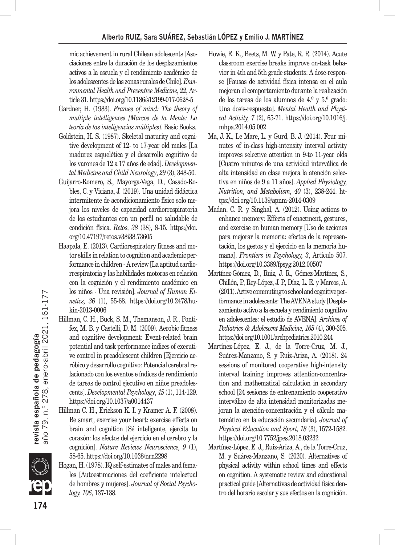mic achievement in rural Chilean adolescents [Asociaciones entre la duración de los desplazamientos activos a la escuela y el rendimiento académico de los adolescentes de las zonas rurales de Chile]. *Environmental Health and Preventive Medicine*, *22*, Article 31. https://doi.org/10.1186/s12199-017-0628-5

- Gardner, H. (1983). *Frames of mind: The theory of multiple intelligences [Marcos de la Mente: La teoría de las inteligencias múltiples]*. Basic Books.
- Goldstein, H. S. (1987). Skeletal maturity and cognitive development of 12- to 17-year old males [La madurez esquelética y el desarrollo cognitivo de los varones de 12 a 17 años de edad]. *Developmental Medicine and Child Neurology*, *29* (3), 348-50.
- Guijarro-Romero, S., Mayorga-Vega, D., Casado-Robles, C. y Viciana, J. (2019). Una unidad didáctica intermitente de acondicionamiento físico solo mejora los niveles de capacidad cardiorrespiratoria de los estudiantes con un perfil no saludable de condición física. *Retos, 38* (38), 8-15. https://doi. org/10.47197/retos.v38i38.73605
- Haapala, E. (2013). Cardiorespiratory fitness and motor skills in relation to cognition and academic performance in children - A review [La aptitud cardiorrespiratoria y las habilidades motoras en relación con la cognición y el rendimiento académico en los niños - Una revisión]. *Journal of Human Kinetics, 36* (1), 55-68. https://doi.org/10.2478/hukin-2013-0006
- Hillman, C. H., Buck, S. M., Themanson, J. R., Pontifex, M. B. y Castelli, D. M. (2009). Aerobic fitness and cognitive development: Event-related brain potential and task performance indices of executive control in preadolescent children [Ejercicio aeróbico y desarrollo cognitivo: Potencial cerebral relacionado con los eventos e índices de rendimiento de tareas de control ejecutivo en niños preadolescents]. *Developmental Psychology*, *45* (1), 114-129. https://doi.org/10.1037/a0014437
- Hillman C. H., Erickson K. I. y Kramer A. F. (2008). Be smart, exercise your heart: exercise effects on brain and cognition [Sé inteligente, ejercita tu corazón: los efectos del ejercicio en el cerebro y la cognición]. *Nature Reviews Neuroscience, 9* (1), 58-65. https://doi.org/10.1038/nrn2298
- Hogan, H. (1978). IQ self-estimates of males and females [Autoestimaciones del coeficiente intelectual de hombres y mujeres]. *Journal of Social Psychology, 106*, 137-138.
- Howie, E. K., Beets, M. W. y Pate, R. R. (2014). Acute classroom exercise breaks improve on-task behavior in 4th and 5th grade students: A dose-response [Pausas de actividad física intensa en el aula mejoran el comportamiento durante la realización de las tareas de los alumnos de 4.º y 5.º grado: Una dosis-respuesta]. *Mental Health and Physical Activity, 7* (2), 65-71. https://doi.org/10.1016/j. mhpa.2014.05.002
- Ma, J. K., Le Mare, L. y Gurd, B. J. (2014). Four minutes of in-class high-intensity interval activity improves selective attention in 9-to 11-year olds [Cuatro minutos de una actividad interválica de alta intensidad en clase mejora la atención selectiva en niños de 9 a 11 años]. *Applied Physiology, Nutrition, and Metabolism, 40* (3), 238-244. https://doi.org/10.1139/apnm-2014-0309
- Madan, C. R. y Singhal, A. (2012). Using actions to enhance memory: Effects of enactment, gestures, and exercise on human memory [Uso de acciones para mejorar la memoria: efectos de la representación, los gestos y el ejercicio en la memoria humana]. *Frontiers in Psychology, 3*, Artículo 507. https://doi.org/10.3389/fpsyg.2012.00507
- Martínez-Gómez, D., Ruiz, J. R., Gómez-Martínez, S., Chillón, P., Rey-López, J. P., Díaz, L. E. y Marcos, A. (2011). Active commuting to school and cognitive performance in adolescents: The AVENA study [Desplazamiento activo a la escuela y rendimiento cognitivo en adolescentes: el estudio de AVENA]. *Archives of Pediatrics & Adolescent Medicine, 165* (4), 300-305. https://doi.org/10.1001/archpediatrics.2010.244
- Martínez-López, E. J., de la Torre-Cruz, M. J., Suárez-Manzano, S. y Ruiz-Ariza, A. (2018). 24 sessions of monitored cooperative high-intensity interval training improves attention-concentration and mathematical calculation in secondary school [24 sesiones de entrenamiento cooperativo interválico de alta intensidad monitorizadas mejoran la atención-concentración y el cálculo matemático en la educación secundaria]. *Journal of Physical Education and Sport, 18* (3), 1572-1582. https://doi.org/10.7752/jpes.2018.03232
- Martínez-López, E. J., Ruiz-Ariza, A., de la Torre-Cruz, M. y Suárez-Manzano, S. (2020). Alternatives of physical activity within school times and effects on cognition. A systematic review and educational practical guide [Alternativas de actividad física dentro del horario escolar y sus efectos en la cognición.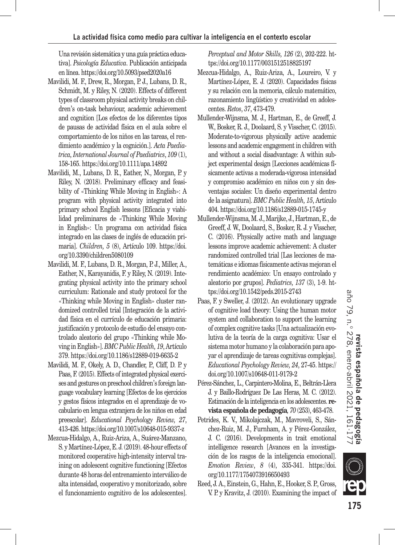Una revisión sistemática y una guía práctica educativa]. *Psicología Educativa*. Publicación anticipada en línea. https://doi.org/10.5093/psed2020a16

- Mavilidi, M. F., Drew, R., Morgan, P. J., Lubans, D. R., Schmidt, M. y Riley, N. (2020). Effects of different types of classroom physical activity breaks on children's on-task behaviour, academic achievement and cognition [Los efectos de los diferentes tipos de pausas de actividad física en el aula sobre el comportamiento de los niños en las tareas, el rendimiento académico y la cognición.]. *Acta Paediatrica, International Journal of Paediatrics*, *109* (1), 158-165. https://doi.org/10.1111/apa.14892
- Mavilidi, M., Lubans, D. R., Eather, N., Morgan, P. y Riley, N. (2018). Preliminary efficacy and feasibility of «Thinking While Moving in English»: A program with physical activity integrated into primary school English lessons [Eficacia y viabilidad preliminares de «Thinking While Moving in English»: Un programa con actividad física integrado en las clases de inglés de educación primaria]. *Children, 5* (8), Artículo 109. https://doi. org/10.3390/children5080109
- Mavilidi, M. F., Lubans, D. R., Morgan, P. J., Miller, A., Eather, N., Karayanidis, F. y Riley, N. (2019). Integrating physical activity into the primary school curriculum: Rationale and study protocol for the «Thinking while Moving in English» cluster randomized controlled trial [Integración de la actividad física en el currículo de educación primaria: justificación y protocolo de estudio del ensayo controlado aleatorio del grupo «Thinking while Moving in English»]. *BMC Public Health, 19*, Artículo 379. https://doi.org/10.1186/s12889-019-6635-2
- Mavilidi, M. F., Okely, A. D., Chandler, P., Cliff, D. P. y Paas, F. (2015). Effects of integrated physical exercises and gestures on preschool children's foreign language vocabulary learning [Efectos de los ejercicios y gestos físicos integrados en el aprendizaje de vocabulario en lengua extranjera de los niños en edad preescolar]. *Educational Psychology Review, 27*, 413-426. https://doi.org/10.1007/s10648-015-9337-z
- Mezcua-Hidalgo, A., Ruiz-Ariza, A., Suárez-Manzano, S. y Martínez-López, E. J. (2019). 48-hour effects of monitored cooperative high-intensity interval training on adolescent cognitive functioning [Efectos durante 48 horas del entrenamiento interválico de alta intensidad, cooperativo y monitorizado, sobre el funcionamiento cognitivo de los adolescentes].

*Perceptual and Motor Skills, 126* (2), 202-222. https://doi.org/10.1177/0031512518825197

- Mezcua-Hidalgo, A., Ruiz-Ariza, A., Loureiro, V. y Martínez-López, E. J. (2020). Capacidades físicas y su relación con la memoria, cálculo matemático, razonamiento lingüístico y creatividad en adolescentes. *Retos*, *37*, 473-479.
- Mullender-Wijnsma, M. J., Hartman, E., de Greeff, J. W., Bosker, R. J., Doolaard, S. y Visscher, C. (2015). Moderate-to-vigorous physically active academic lessons and academic engagement in children with and without a social disadvantage: A within subject experimental design [Lecciones académicas físicamente activas a moderada-vigorosa intensidad y compromiso académico en niños con y sin desventajas sociales: Un diseño experimental dentro de la asignatura]. *BMC Public Health, 15*, Artículo 404. https://doi.org/10.1186/s12889-015-1745-y
- Mullender-Wijnsma, M. J., Marijke, J., Hartman, E., de Greeff, J. W., Doolaard, S., Bosker, R. J. y Visscher, C. (2016). Physically active math and language lessons improve academic achievement: A cluster randomized controlled trial [Las lecciones de matemáticas e idiomas físicamente activas mejoran el rendimiento académico: Un ensayo controlado y aleatorio por grupos]. *Pediatrics, 137* (3), 1-9. https://doi.org/10.1542/peds.2015-2743
- Paas, F. y Sweller, J. (2012). An evolutionary upgrade of cognitive load theory: Using the human motor system and collaboration to support the learning of complex cognitive tasks [Una actualización evolutiva de la teoría de la carga cognitiva: Usar el sistema motor humano y la colaboración para apoyar el aprendizaje de tareas cognitivas complejas]. *Educational Psychology Review, 24*, 27-45. https:// doi.org/10.1007/s10648-011-9179-2
- Pérez-Sánchez, L., Carpintero-Molina, E., Beltrán-Llera J. y Baillo-Rodríguez De Las Heras, M. C. (2012). Estimación de la inteligencia en los adolescentes. **revista española de pedagogía***, 70* (253), 463-478.
- Petrides, K. V., Mikolajczak, M., Mavroveli, S., Sánchez-Ruiz, M. J., Furnham, A. y Pérez-González, J. C. (2016). Developments in trait emotional intelligence research [Avances en la investigación de los rasgos de la inteligencia emocional]. *Emotion Review*, *8* (4), 335-341. https://doi. org/10.1177/1754073916650493
- Reed, J. A., Einstein, G., Hahn, E., Hooker, S. P., Gross, V. P. y Kravitz, J. (2010). Examining the impact of



**tur**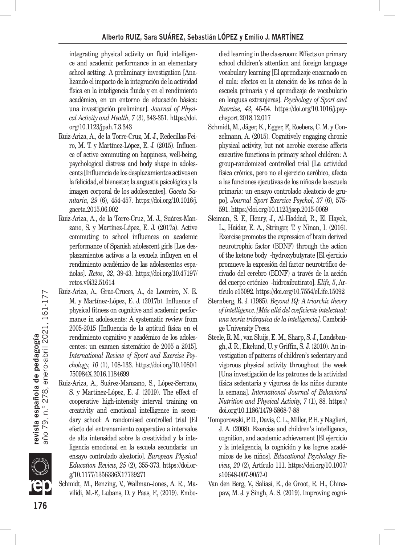integrating physical activity on fluid intelligence and academic performance in an elementary school setting: A preliminary investigation [Analizando el impacto de la integración de la actividad física en la inteligencia fluida y en el rendimiento académico, en un entorno de educación básica: una investigación preliminar]. *Journal of Physical Activity and Health, 7* (3), 343-351. https://doi. org/10.1123/jpah.7.3.343

- Ruiz-Ariza, A., de la Torre-Cruz, M. J., Redecillas-Peiro, M. T. y Martínez-López, E. J. (2015). Influence of active commuting on happiness, well-being, psychological distress and body shape in adolescents [Influencia de los desplazamientos activos en la felicidad, el bienestar, la angustia psicológica y la imagen corporal de los adolescentes]. *Gaceta Sanitaria*, *29* (6), 454-457. https://doi.org/10.1016/j. gaceta.2015.06.002
- Ruiz-Ariza, A., de la Torre-Cruz, M. J., Suárez-Manzano, S. y Martínez-López, E. J. (2017a). Active commuting to school influences on academic performance of Spanish adolescent girls [Los desplazamientos activos a la escuela influyen en el rendimiento académico de las adolescentes españolas]. *Retos*, *32*, 39-43. https://doi.org/10.47197/ retos.v0i32.51614
- Ruiz-Ariza, A., Grao-Cruces, A., de Loureiro, N. E. M. y Martínez-López, E. J. (2017b). Influence of physical fitness on cognitive and academic performance in adolescents: A systematic review from 2005-2015 [Influencia de la aptitud física en el rendimiento cognitivo y académico de los adolescentes: un examen sistemático de 2005 a 2015]. *International Review of Sport and Exercise Psychology, 10* (1), 108-133. https://doi.org/10.1080/1 750984X.2016.1184699
- Ruiz-Ariza, A., Suárez-Manzano, S., López-Serrano, S. y Martínez-López, E. J. (2019). The effect of cooperative high-intensity interval training on creativity and emotional intelligence in secondary school: A randomised controlled trial [El efecto del entrenamiento cooperativo a intervalos de alta intensidad sobre la creatividad y la inteligencia emocional en la escuela secundaria: un ensayo controlado aleatorio]. *European Physical Education Review, 25* (2), 355-373. https://doi.org/10.1177/1356336X17739271
- Schmidt, M., Benzing, V., Wallman-Jones, A. R., Mavilidi, M.-F., Lubans, D. y Paas, F., (2019). Embo-

died learning in the classroom: Effects on primary school children's attention and foreign language vocabulary learning [El aprendizaje encarnado en el aula: efectos en la atención de los niños de la escuela primaria y el aprendizaje de vocabulario en lenguas extranjeras]. *Psychology of Sport and Exercise, 43*, 45-54. https://doi.org/10.1016/j.psychsport.2018.12.017

- Schmidt, M., Jäger, K., Egger, F., Roebers, C. M. y Conzelmann, A. (2015). Cognitively engaging chronic physical activity, but not aerobic exercise affects executive functions in primary school children: A group-randomized controlled trial [La actividad física crónica, pero no el ejercicio aeróbico, afecta a las funciones ejecutivas de los niños de la escuela primaria: un ensayo controlado aleatorio de grupo]. *Journal Sport Exercice Psychol, 37* (6), 575- 591. https://doi.org/10.1123/jsep.2015-0069
- Sleiman, S. F., Henry, J., Al-Haddad, R., El Hayek, L., Haidar, E. A., Stringer, T. y Ninan, I. (2016). Exercise promotes the expression of brain derived neurotrophic factor (BDNF) through the action of the ketone body -hydroxybutyrate [El ejercicio promueve la expresión del factor neurotrófico derivado del cerebro (BDNF) a través de la acción del cuerpo cetónico -hidroxibutirato]. *Elife, 5*, Artículo e15092. https://doi.org/10.7554/eLife.15092
- Sternberg, R. J. (1985). *Beyond IQ: A triarchic theory of intelligence. [Más allá del coeficiente intelectual: una teoría triárquica de la inteligencia]*. Cambridge University Press.
- Steele, R. M., van Sluijs, E. M., Sharp, S. J., Landsbaugh, J. R., Ekelund, U. y Griffin, S. J. (2010). An investigation of patterns of children's sedentary and vigorous physical activity throughout the week [Una investigación de los patrones de la actividad física sedentaria y vigorosa de los niños durante la semana]. *International Journal of Behavioral Nutrition and Physical Activity, 7* (1), 88. https:// doi.org/10.1186/1479-5868-7-88
- Tomporowski, P. D., Davis, C. L., Miller, P. H. y Naglieri, J. A. (2008). Exercise and children's intelligence, cognition, and academic achievement [El ejercicio y la inteligencia, la cognición y los logros académicos de los niños]. *Educational Psychology Review, 20* (2), Artículo 111. https://doi.org/10.1007/ s10648-007-9057-0
- Van den Berg, V., Saliasi, E., de Groot, R. H., Chinapaw, M. J. y Singh, A. S. (2019). Improving cogni-